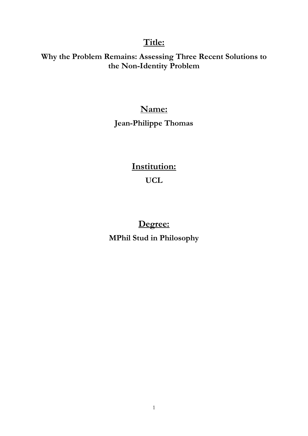# **Title:**

## **Why the Problem Remains: Assessing Three Recent Solutions to the Non-Identity Problem**

# **Name:**

# **Jean-Philippe Thomas**

# **Institution: UCL**

# **Degree: MPhil Stud in Philosophy**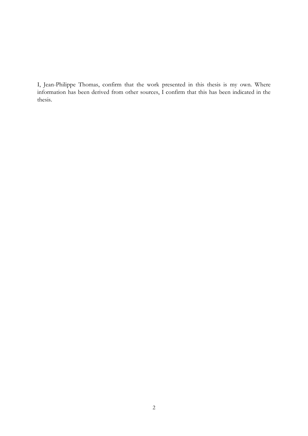I, Jean-Philippe Thomas, confirm that the work presented in this thesis is my own. Where information has been derived from other sources, I confirm that this has been indicated in the thesis.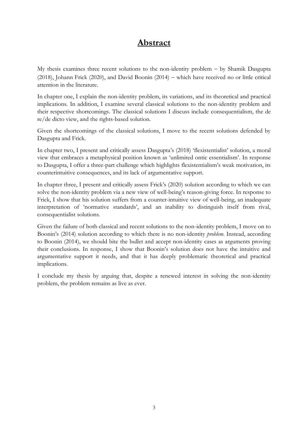## **Abstract**

My thesis examines three recent solutions to the non-identity problem − by Shamik Dasgupta (2018), Johann Frick (2020), and David Boonin (2014) − which have received no or little critical attention in the literature.

In chapter one, I explain the non-identity problem, its variations, and its theoretical and practical implications. In addition, I examine several classical solutions to the non-identity problem and their respective shortcomings. The classical solutions I discuss include consequentialism, the de re/de dicto view, and the rights-based solution.

Given the shortcomings of the classical solutions, I move to the recent solutions defended by Dasgupta and Frick.

In chapter two, I present and critically assess Dasgupta's (2018) 'flexistentialist' solution, a moral view that embraces a metaphysical position known as 'unlimited ontic essentialism'. In response to Dasgupta, I offer a three-part challenge which highlights flexistentialism's weak motivation, its counterintuitive consequences, and its lack of argumentative support.

In chapter three, I present and critically assess Frick's (2020) solution according to which we can solve the non-identity problem via a new view of well-being's reason-giving force. In response to Frick, I show that his solution suffers from a counter-intuitive view of well-being, an inadequate interpretation of 'normative standards', and an inability to distinguish itself from rival, consequentialist solutions.

Given the failure of both classical and recent solutions to the non-identity problem, I move on to Boonin's (2014) solution according to which there is no non-identity *problem*. Instead, according to Boonin (2014), we should bite the bullet and accept non-identity cases as arguments proving their conclusions. In response, I show that Boonin's solution does not have the intuitive and argumentative support it needs, and that it has deeply problematic theoretical and practical implications.

I conclude my thesis by arguing that, despite a renewed interest in solving the non-identity problem, the problem remains as live as ever.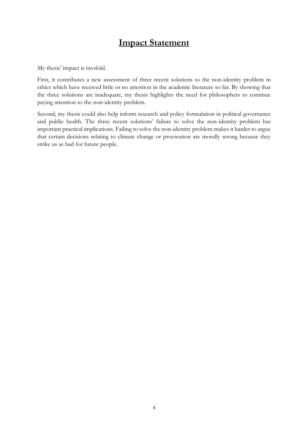# **Impact Statement**

My thesis' impact is twofold.

First, it contributes a new assessment of three recent solutions to the non-identity problem in ethics which have received little or no attention in the academic literature so far. By showing that the three solutions are inadequate, my thesis highlights the need for philosophers to continue paying attention to the non-identity problem.

Second, my thesis could also help inform research and policy formulation in political governance and public health. The three recent solutions' failure to solve the non-identity problem has important practical implications. Failing to solve the non-identity problem makes it harder to argue that certain decisions relating to climate change or procreation are morally wrong because they strike us as bad for future people.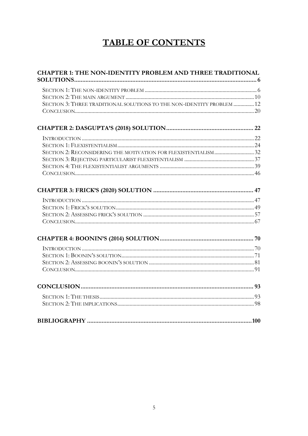# **TABLE OF CONTENTS**

| <b>CHAPTER 1: THE NON-IDENTITY PROBLEM AND THREE TRADITIONAL</b>       |  |
|------------------------------------------------------------------------|--|
|                                                                        |  |
|                                                                        |  |
|                                                                        |  |
| SECTION 3: THREE TRADITIONAL SOLUTIONS TO THE NON-IDENTITY PROBLEM  12 |  |
|                                                                        |  |
|                                                                        |  |
|                                                                        |  |
|                                                                        |  |
|                                                                        |  |
|                                                                        |  |
|                                                                        |  |
|                                                                        |  |
|                                                                        |  |
|                                                                        |  |
|                                                                        |  |
|                                                                        |  |
|                                                                        |  |
|                                                                        |  |
|                                                                        |  |
|                                                                        |  |
|                                                                        |  |
|                                                                        |  |
|                                                                        |  |
|                                                                        |  |
|                                                                        |  |
|                                                                        |  |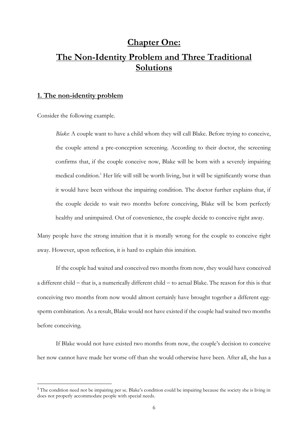# **Chapter One: The Non-Identity Problem and Three Traditional Solutions**

### **1. The non-identity problem**

Consider the following example.

*Blake*: A couple want to have a child whom they will call Blake. Before trying to conceive, the couple attend a pre-conception screening. According to their doctor, the screening confirms that, if the couple conceive now, Blake will be born with a severely impairing medical condition.<sup>1</sup> Her life will still be worth living, but it will be significantly worse than it would have been without the impairing condition. The doctor further explains that, if the couple decide to wait two months before conceiving, Blake will be born perfectly healthy and unimpaired. Out of convenience, the couple decide to conceive right away.

Many people have the strong intuition that it is morally wrong for the couple to conceive right away. However, upon reflection, it is hard to explain this intuition.

If the couple had waited and conceived two months from now, they would have conceived a different child − that is, a numerically different child − to actual Blake. The reason for this is that conceiving two months from now would almost certainly have brought together a different eggsperm combination. As a result, Blake would not have existed if the couple had waited two months before conceiving.

If Blake would not have existed two months from now, the couple's decision to conceive her now cannot have made her worse off than she would otherwise have been. After all, she has a

<sup>&</sup>lt;sup>1</sup> The condition need not be impairing per se. Blake's condition could be impairing because the society she is living in does not properly accommodate people with special needs.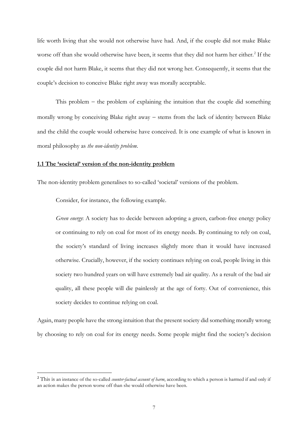life worth living that she would not otherwise have had. And, if the couple did not make Blake worse off than she would otherwise have been, it seems that they did not harm her either.<sup>2</sup> If the couple did not harm Blake, it seems that they did not wrong her. Consequently, it seems that the couple's decision to conceive Blake right away was morally acceptable.

This problem − the problem of explaining the intuition that the couple did something morally wrong by conceiving Blake right away − stems from the lack of identity between Blake and the child the couple would otherwise have conceived. It is one example of what is known in moral philosophy as *the non-identity problem*.

#### **1.1 The 'societal' version of the non-identity problem**

The non-identity problem generalises to so-called 'societal' versions of the problem.

Consider, for instance, the following example.

*Green energy*: A society has to decide between adopting a green, carbon-free energy policy or continuing to rely on coal for most of its energy needs. By continuing to rely on coal, the society's standard of living increases slightly more than it would have increased otherwise. Crucially, however, if the society continues relying on coal, people living in this society two hundred years on will have extremely bad air quality. As a result of the bad air quality, all these people will die painlessly at the age of forty. Out of convenience, this society decides to continue relying on coal.

Again, many people have the strong intuition that the present society did something morally wrong by choosing to rely on coal for its energy needs. Some people might find the society's decision

<sup>&</sup>lt;sup>2</sup> This is an instance of the so-called *counter-factual account of harm*, according to which a person is harmed if and only if an action makes the person worse off than she would otherwise have been.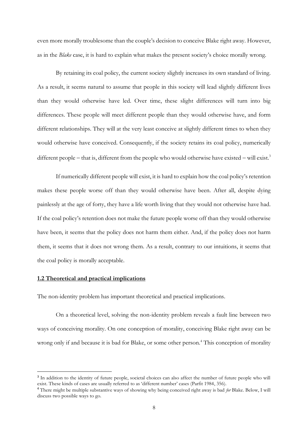even more morally troublesome than the couple's decision to conceive Blake right away. However, as in the *Blake* case, it is hard to explain what makes the present society's choice morally wrong.

By retaining its coal policy, the current society slightly increases its own standard of living. As a result, it seems natural to assume that people in this society will lead slightly different lives than they would otherwise have led. Over time, these slight differences will turn into big differences. These people will meet different people than they would otherwise have, and form different relationships. They will at the very least conceive at slightly different times to when they would otherwise have conceived. Consequently, if the society retains its coal policy, numerically different people − that is, different from the people who would otherwise have existed – will exist.<sup>3</sup>

If numerically different people will exist, it is hard to explain how the coal policy's retention makes these people worse off than they would otherwise have been. After all, despite dying painlessly at the age of forty, they have a life worth living that they would not otherwise have had. If the coal policy's retention does not make the future people worse off than they would otherwise have been, it seems that the policy does not harm them either. And, if the policy does not harm them, it seems that it does not wrong them. As a result, contrary to our intuitions, it seems that the coal policy is morally acceptable.

### **1.2 Theoretical and practical implications**

The non-identity problem has important theoretical and practical implications.

On a theoretical level, solving the non-identity problem reveals a fault line between two ways of conceiving morality. On one conception of morality, conceiving Blake right away can be wrong only if and because it is bad for Blake, or some other person.<sup>4</sup> This conception of morality

<sup>&</sup>lt;sup>3</sup> In addition to the identity of future people, societal choices can also affect the number of future people who will exist. These kinds of cases are usually referred to as 'different number' cases (Parfit 1984, 356).

<sup>4</sup> There might be multiple substantive ways of showing why being conceived right away is bad *for* Blake. Below, I will discuss two possible ways to go.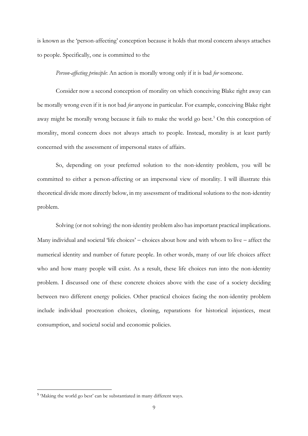is known as the 'person-affecting' conception because it holds that moral concern always attaches to people. Specifically, one is committed to the

*Person-affecting principle*: An action is morally wrong only if it is bad *for* someone.

Consider now a second conception of morality on which conceiving Blake right away can be morally wrong even if it is not bad *for* anyone in particular. For example, conceiving Blake right away might be morally wrong because it fails to make the world go best.<sup>5</sup> On this conception of morality, moral concern does not always attach to people. Instead, morality is at least partly concerned with the assessment of impersonal states of affairs.

So, depending on your preferred solution to the non-identity problem, you will be committed to either a person-affecting or an impersonal view of morality. I will illustrate this theoretical divide more directly below, in my assessment of traditional solutions to the non-identity problem.

Solving (or not solving) the non-identity problem also has important practical implications. Many individual and societal 'life choices' − choices about how and with whom to live − affect the numerical identity and number of future people. In other words, many of our life choices affect who and how many people will exist. As a result, these life choices run into the non-identity problem. I discussed one of these concrete choices above with the case of a society deciding between two different energy policies. Other practical choices facing the non-identity problem include individual procreation choices, cloning, reparations for historical injustices, meat consumption, and societal social and economic policies.

<sup>&</sup>lt;sup>5</sup> 'Making the world go best' can be substantiated in many different ways.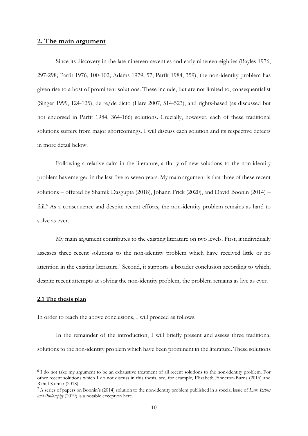### **2. The main argument**

Since its discovery in the late nineteen-seventies and early nineteen-eighties (Bayles 1976, 297-298; Parfit 1976, 100-102; Adams 1979, 57; Parfit 1984, 359), the non-identity problem has given rise to a host of prominent solutions. These include, but are not limited to, consequentialist (Singer 1999, 124-125), de re/de dicto (Hare 2007, 514-523), and rights-based (as discussed but not endorsed in Parfit 1984, 364-166) solutions. Crucially, however, each of these traditional solutions suffers from major shortcomings. I will discuss each solution and its respective defects in more detail below.

Following a relative calm in the literature, a flurry of new solutions to the non-identity problem has emerged in the last five to seven years. My main argument is that three of these recent solutions − offered by Shamik Dasgupta (2018), Johann Frick (2020), and David Boonin (2014) − fail.<sup>6</sup> As a consequence and despite recent efforts, the non-identity problem remains as hard to solve as ever.

My main argument contributes to the existing literature on two levels. First, it individually assesses three recent solutions to the non-identity problem which have received little or no attention in the existing literature.<sup>7</sup> Second, it supports a broader conclusion according to which, despite recent attempts at solving the non-identity problem, the problem remains as live as ever.

#### **2.1 The thesis plan**

In order to reach the above conclusions, I will proceed as follows.

In the remainder of the introduction, I will briefly present and assess three traditional solutions to the non-identity problem which have been prominent in the literature. These solutions

<sup>&</sup>lt;sup>6</sup> I do not take my argument to be an exhaustive treatment of all recent solutions to the non-identity problem. For other recent solutions which I do not discuss in this thesis, see, for example, Elizabeth Finneron-Burns (2016) and Rahul Kumar (2018).

<sup>7</sup> A series of papers on Boonin's (2014) solution to the non-identity problem published in a special issue of *Law, Ethics and Philosophy* (2019) is a notable exception here.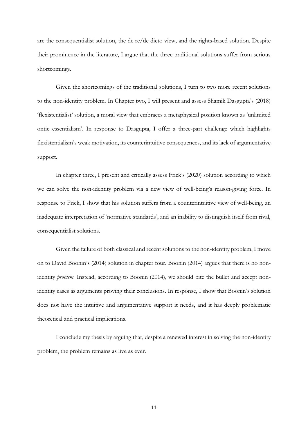are the consequentialist solution, the de re/de dicto view, and the rights-based solution. Despite their prominence in the literature, I argue that the three traditional solutions suffer from serious shortcomings.

Given the shortcomings of the traditional solutions, I turn to two more recent solutions to the non-identity problem. In Chapter two, I will present and assess Shamik Dasgupta's (2018) 'flexistentialist' solution, a moral view that embraces a metaphysical position known as 'unlimited ontic essentialism'. In response to Dasgupta, I offer a three-part challenge which highlights flexistentialism's weak motivation, its counterintuitive consequences, and its lack of argumentative support.

In chapter three, I present and critically assess Frick's (2020) solution according to which we can solve the non-identity problem via a new view of well-being's reason-giving force. In response to Frick, I show that his solution suffers from a counterintuitive view of well-being, an inadequate interpretation of 'normative standards', and an inability to distinguish itself from rival, consequentialist solutions.

Given the failure of both classical and recent solutions to the non-identity problem, I move on to David Boonin's (2014) solution in chapter four. Boonin (2014) argues that there is no nonidentity *problem*. Instead, according to Boonin (2014), we should bite the bullet and accept nonidentity cases as arguments proving their conclusions. In response, I show that Boonin's solution does not have the intuitive and argumentative support it needs, and it has deeply problematic theoretical and practical implications.

I conclude my thesis by arguing that, despite a renewed interest in solving the non-identity problem, the problem remains as live as ever.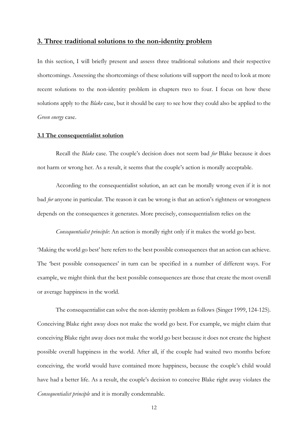### **3. Three traditional solutions to the non-identity problem**

In this section, I will briefly present and assess three traditional solutions and their respective shortcomings. Assessing the shortcomings of these solutions will support the need to look at more recent solutions to the non-identity problem in chapters two to four. I focus on how these solutions apply to the *Blake* case, but it should be easy to see how they could also be applied to the *Green energy* case.

#### **3.1 The consequentialist solution**

Recall the *Blake* case. The couple's decision does not seem bad *for* Blake because it does not harm or wrong her. As a result, it seems that the couple's action is morally acceptable.

According to the consequentialist solution, an act can be morally wrong even if it is not bad *for* anyone in particular. The reason it can be wrong is that an action's rightness or wrongness depends on the consequences it generates. More precisely, consequentialism relies on the

*Consequentialist principle*: An action is morally right only if it makes the world go best.

'Making the world go best' here refers to the best possible consequences that an action can achieve. The 'best possible consequences' in turn can be specified in a number of different ways. For example, we might think that the best possible consequences are those that create the most overall or average happiness in the world.

The consequentialist can solve the non-identity problem as follows (Singer 1999, 124-125). Conceiving Blake right away does not make the world go best. For example, we might claim that conceiving Blake right away does not make the world go best because it does not create the highest possible overall happiness in the world. After all, if the couple had waited two months before conceiving, the world would have contained more happiness, because the couple's child would have had a better life. As a result, the couple's decision to conceive Blake right away violates the *Consequentialist principle* and it is morally condemnable.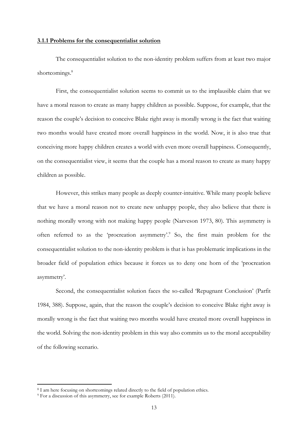#### **3.1.1 Problems for the consequentialist solution**

The consequentialist solution to the non-identity problem suffers from at least two major shortcomings.<sup>8</sup>

First, the consequentialist solution seems to commit us to the implausible claim that we have a moral reason to create as many happy children as possible. Suppose, for example, that the reason the couple's decision to conceive Blake right away is morally wrong is the fact that waiting two months would have created more overall happiness in the world. Now, it is also true that conceiving more happy children creates a world with even more overall happiness. Consequently, on the consequentialist view, it seems that the couple has a moral reason to create as many happy children as possible.

However, this strikes many people as deeply counter-intuitive. While many people believe that we have a moral reason not to create new unhappy people, they also believe that there is nothing morally wrong with not making happy people (Narveson 1973, 80). This asymmetry is often referred to as the 'procreation asymmetry'. 9 So, the first main problem for the consequentialist solution to the non-identity problem is that is has problematic implications in the broader field of population ethics because it forces us to deny one horn of the 'procreation asymmetry'.

Second, the consequentialist solution faces the so-called 'Repugnant Conclusion' (Parfit 1984, 388). Suppose, again, that the reason the couple's decision to conceive Blake right away is morally wrong is the fact that waiting two months would have created more overall happiness in the world. Solving the non-identity problem in this way also commits us to the moral acceptability of the following scenario.

<sup>8</sup> I am here focusing on shortcomings related directly to the field of population ethics.

<sup>9</sup> For a discussion of this asymmetry, see for example Roberts (2011).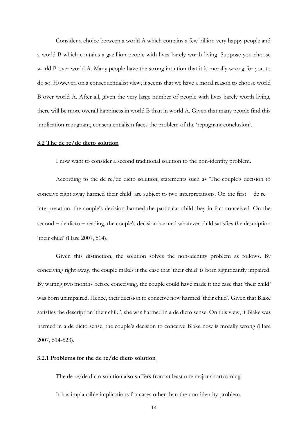Consider a choice between a world A which contains a few billion very happy people and a world B which contains a gazillion people with lives barely worth living. Suppose you choose world B over world A. Many people have the strong intuition that it is morally wrong for you to do so. However, on a consequentialist view, it seems that we have a moral reason to choose world B over world A. After all, given the very large number of people with lives barely worth living, there will be more overall happiness in world B than in world A. Given that many people find this implication repugnant, consequentialism faces the problem of the 'repugnant conclusion'.

#### **3.2 The de re/de dicto solution**

I now want to consider a second traditional solution to the non-identity problem.

According to the de re/de dicto solution, statements such as 'The couple's decision to conceive right away harmed their child' are subject to two interpretations. On the first − de re − interpretation, the couple's decision harmed the particular child they in fact conceived. On the second − de dicto − reading, the couple's decision harmed whatever child satisfies the description 'their child' (Hare 2007, 514).

Given this distinction, the solution solves the non-identity problem as follows. By conceiving right away, the couple makes it the case that 'their child' is born significantly impaired. By waiting two months before conceiving, the couple could have made it the case that 'their child' was born unimpaired. Hence, their decision to conceive now harmed 'their child'. Given that Blake satisfies the description 'their child', she was harmed in a de dicto sense. On this view, if Blake was harmed in a de dicto sense, the couple's decision to conceive Blake now is morally wrong (Hare 2007, 514-523).

#### **3.2.1 Problems for the de re/de dicto solution**

The de re/de dicto solution also suffers from at least one major shortcoming.

It has implausible implications for cases other than the non-identity problem.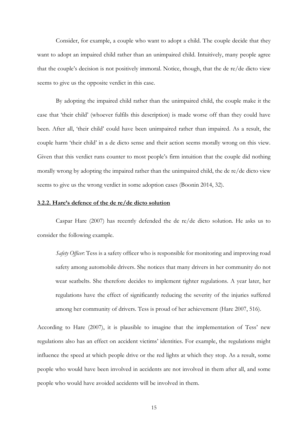Consider, for example, a couple who want to adopt a child. The couple decide that they want to adopt an impaired child rather than an unimpaired child. Intuitively, many people agree that the couple's decision is not positively immoral. Notice, though, that the de re/de dicto view seems to give us the opposite verdict in this case.

By adopting the impaired child rather than the unimpaired child, the couple make it the case that 'their child' (whoever fulfils this description) is made worse off than they could have been. After all, 'their child' could have been unimpaired rather than impaired. As a result, the couple harm 'their child' in a de dicto sense and their action seems morally wrong on this view. Given that this verdict runs counter to most people's firm intuition that the couple did nothing morally wrong by adopting the impaired rather than the unimpaired child, the de re/de dicto view seems to give us the wrong verdict in some adoption cases (Boonin 2014, 32).

#### **3.2.2. Hare's defence of the de re/de dicto solution**

Caspar Hare (2007) has recently defended the de re/de dicto solution. He asks us to consider the following example.

*Safety Officer*: Tess is a safety officer who is responsible for monitoring and improving road safety among automobile drivers. She notices that many drivers in her community do not wear seatbelts. She therefore decides to implement tighter regulations. A year later, her regulations have the effect of significantly reducing the severity of the injuries suffered among her community of drivers. Tess is proud of her achievement (Hare 2007, 516).

According to Hare (2007), it is plausible to imagine that the implementation of Tess' new regulations also has an effect on accident victims' identities. For example, the regulations might influence the speed at which people drive or the red lights at which they stop. As a result, some people who would have been involved in accidents are not involved in them after all, and some people who would have avoided accidents will be involved in them.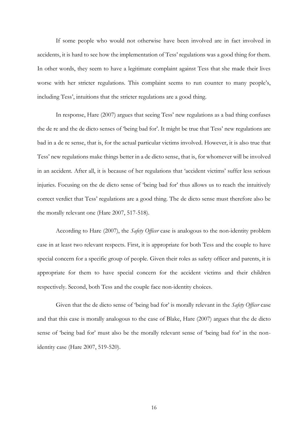If some people who would not otherwise have been involved are in fact involved in accidents, it is hard to see how the implementation of Tess' regulations was a good thing for them. In other words, they seem to have a legitimate complaint against Tess that she made their lives worse with her stricter regulations. This complaint seems to run counter to many people's, including Tess', intuitions that the stricter regulations are a good thing.

In response, Hare (2007) argues that seeing Tess' new regulations as a bad thing confuses the de re and the de dicto senses of 'being bad for'. It might be true that Tess' new regulations are bad in a de re sense, that is, for the actual particular victims involved. However, it is also true that Tess' new regulations make things better in a de dicto sense, that is, for whomever will be involved in an accident. After all, it is because of her regulations that 'accident victims' suffer less serious injuries. Focusing on the de dicto sense of 'being bad for' thus allows us to reach the intuitively correct verdict that Tess' regulations are a good thing. The de dicto sense must therefore also be the morally relevant one (Hare 2007, 517-518).

According to Hare (2007), the *Safety Officer* case is analogous to the non-identity problem case in at least two relevant respects. First, it is appropriate for both Tess and the couple to have special concern for a specific group of people. Given their roles as safety officer and parents, it is appropriate for them to have special concern for the accident victims and their children respectively. Second, both Tess and the couple face non-identity choices.

Given that the de dicto sense of 'being bad for' is morally relevant in the *Safety Officer* case and that this case is morally analogous to the case of Blake, Hare (2007) argues that the de dicto sense of 'being bad for' must also be the morally relevant sense of 'being bad for' in the nonidentity case (Hare 2007, 519-520).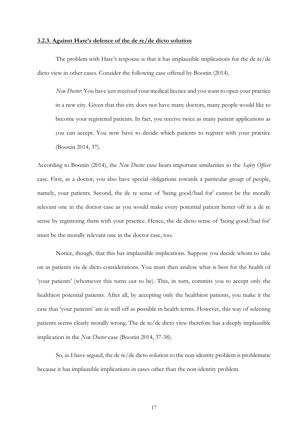#### **3.2.3. Against Hare's defence of the de re/de dicto solution**

The problem with Hare's response is that it has implausible implications for the de re/de dicto view in other cases. Consider the following case offered by Boonin (2014).

*New Doctor*: You have just received your medical licence and you want to open your practice in a new city. Given that this city does not have many doctors, many people would like to become your registered patients. In fact, you receive twice as many patient applications as you can accept. You now have to decide which patients to register with your practice (Boonin 2014, 37).

According to Boonin (2014), the *New Doctor* case bears important similarities to the *Safety Officer* case. First, as a doctor, you also have special obligations towards a particular group of people, namely, your patients. Second, the de re sense of 'being good/bad for' cannot be the morally relevant one in the doctor case as you would make every potential patient better off in a de re sense by registering them with your practice. Hence, the de dicto sense of 'being good/bad for' must be the morally relevant one in the doctor case, too.

Notice, though, that this has implausible implications. Suppose you decide whom to take on as patients via de dicto considerations. You must then analyse what is best for the health of 'your patients' (whomever this turns out to be). This, in turn, commits you to accept only the healthiest potential patients. After all, by accepting only the healthiest patients, you make it the case that 'your patients' are as well off as possible in health terms. However, this way of selecting patients seems clearly morally wrong. The de re/de dicto view therefore has a deeply implausible implication in the *New Doctor* case (Boonin 2014, 37-38).

So, as I have argued, the de re/de dicto solution to the non-identity problem is problematic because it has implausible implications in cases other than the non-identity problem.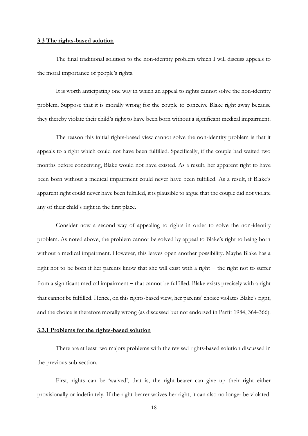#### **3.3 The rights-based solution**

The final traditional solution to the non-identity problem which I will discuss appeals to the moral importance of people's rights.

It is worth anticipating one way in which an appeal to rights cannot solve the non-identity problem. Suppose that it is morally wrong for the couple to conceive Blake right away because they thereby violate their child's right to have been born without a significant medical impairment.

The reason this initial rights-based view cannot solve the non-identity problem is that it appeals to a right which could not have been fulfilled. Specifically, if the couple had waited two months before conceiving, Blake would not have existed. As a result, her apparent right to have been born without a medical impairment could never have been fulfilled. As a result, if Blake's apparent right could never have been fulfilled, it is plausible to argue that the couple did not violate any of their child's right in the first place.

Consider now a second way of appealing to rights in order to solve the non-identity problem. As noted above, the problem cannot be solved by appeal to Blake's right to being born without a medical impairment. However, this leaves open another possibility. Maybe Blake has a right not to be born if her parents know that she will exist with a right − the right not to suffer from a significant medical impairment – that cannot be fulfilled. Blake exists precisely with a right that cannot be fulfilled. Hence, on this rights-based view, her parents' choice violates Blake's right, and the choice is therefore morally wrong (as discussed but not endorsed in Parfit 1984, 364-366).

#### **3.3.1 Problems for the rights-based solution**

There are at least two majors problems with the revised rights-based solution discussed in the previous sub-section.

First, rights can be 'waived', that is, the right-bearer can give up their right either provisionally or indefinitely. If the right-bearer waives her right, it can also no longer be violated.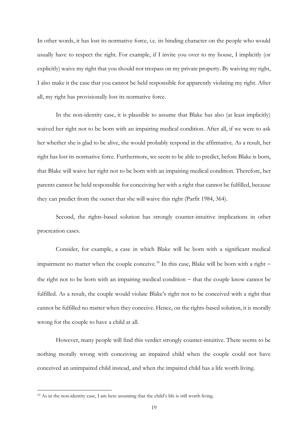In other words, it has lost its normative force, i.e. its binding character on the people who would usually have to respect the right. For example, if I invite you over to my house, I implicitly (or explicitly) waive my right that you should not trespass on my private property. By waiving my right, I also make it the case that you cannot be held responsible for apparently violating my right. After all, my right has provisionally lost its normative force.

In the non-identity case, it is plausible to assume that Blake has also (at least implicitly) waived her right not to be born with an impairing medical condition. After all, if we were to ask her whether she is glad to be alive, she would probably respond in the affirmative. As a result, her right has lost its normative force. Furthermore, we seem to be able to predict, before Blake is born, that Blake will waive her right not to be born with an impairing medical condition. Therefore, her parents cannot be held responsible for conceiving her with a right that cannot be fulfilled, because they can predict from the outset that she will waive this right (Parfit 1984, 364).

Second, the rights-based solution has strongly counter-intuitive implications in other procreation cases.

Consider, for example, a case in which Blake will be born with a significant medical impairment no matter when the couple conceive.<sup>10</sup> In this case, Blake will be born with a right − the right not to be born with an impairing medical condition − that the couple know cannot be fulfilled. As a result, the couple would violate Blake's right not to be conceived with a right that cannot be fulfilled no matter when they conceive. Hence, on the rights-based solution, it is morally wrong for the couple to have a child at all.

However, many people will find this verdict strongly counter-intuitive. There seems to be nothing morally wrong with conceiving an impaired child when the couple could not have conceived an unimpaired child instead, and when the impaired child has a life worth living.

<sup>&</sup>lt;sup>10</sup> As in the non-identity case, I am here assuming that the child's life is still worth living.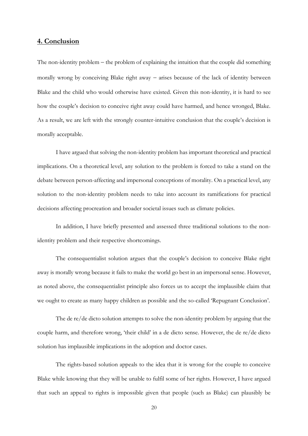### **4. Conclusion**

The non-identity problem – the problem of explaining the intuition that the couple did something morally wrong by conceiving Blake right away – arises because of the lack of identity between Blake and the child who would otherwise have existed. Given this non-identity, it is hard to see how the couple's decision to conceive right away could have harmed, and hence wronged, Blake. As a result, we are left with the strongly counter-intuitive conclusion that the couple's decision is morally acceptable.

I have argued that solving the non-identity problem has important theoretical and practical implications. On a theoretical level, any solution to the problem is forced to take a stand on the debate between person-affecting and impersonal conceptions of morality. On a practical level, any solution to the non-identity problem needs to take into account its ramifications for practical decisions affecting procreation and broader societal issues such as climate policies.

In addition, I have briefly presented and assessed three traditional solutions to the nonidentity problem and their respective shortcomings.

The consequentialist solution argues that the couple's decision to conceive Blake right away is morally wrong because it fails to make the world go best in an impersonal sense. However, as noted above, the consequentialist principle also forces us to accept the implausible claim that we ought to create as many happy children as possible and the so-called 'Repugnant Conclusion'.

The de re/de dicto solution attempts to solve the non-identity problem by arguing that the couple harm, and therefore wrong, 'their child' in a de dicto sense. However, the de re/de dicto solution has implausible implications in the adoption and doctor cases.

The rights-based solution appeals to the idea that it is wrong for the couple to conceive Blake while knowing that they will be unable to fulfil some of her rights. However, I have argued that such an appeal to rights is impossible given that people (such as Blake) can plausibly be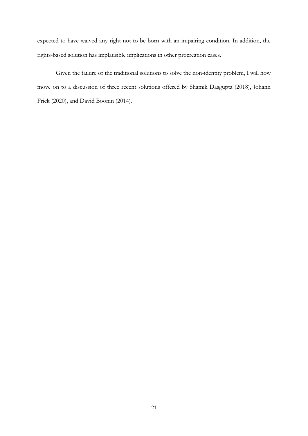expected to have waived any right not to be born with an impairing condition. In addition, the rights-based solution has implausible implications in other procreation cases.

Given the failure of the traditional solutions to solve the non-identity problem, I will now move on to a discussion of three recent solutions offered by Shamik Dasgupta (2018), Johann Frick (2020), and David Boonin (2014).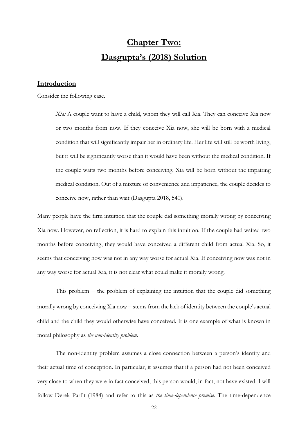# **Chapter Two: Dasgupta's (2018) Solution**

### **Introduction**

Consider the following case.

*Xia:* A couple want to have a child, whom they will call Xia. They can conceive Xia now or two months from now. If they conceive Xia now, she will be born with a medical condition that will significantly impair her in ordinary life. Her life will still be worth living, but it will be significantly worse than it would have been without the medical condition. If the couple waits two months before conceiving, Xia will be born without the impairing medical condition. Out of a mixture of convenience and impatience, the couple decides to conceive now, rather than wait (Dasgupta 2018, 540).

Many people have the firm intuition that the couple did something morally wrong by conceiving Xia now. However, on reflection, it is hard to explain this intuition. If the couple had waited two months before conceiving, they would have conceived a different child from actual Xia. So, it seems that conceiving now was not in any way worse for actual Xia. If conceiving now was not in any way worse for actual Xia, it is not clear what could make it morally wrong.

This problem − the problem of explaining the intuition that the couple did something morally wrong by conceiving Xia now − stems from the lack of identity between the couple's actual child and the child they would otherwise have conceived. It is one example of what is known in moral philosophy as *the non-identity problem*.

The non-identity problem assumes a close connection between a person's identity and their actual time of conception. In particular, it assumes that if a person had not been conceived very close to when they were in fact conceived, this person would, in fact, not have existed. I will follow Derek Parfit (1984) and refer to this as *the time-dependence premise*. The time-dependence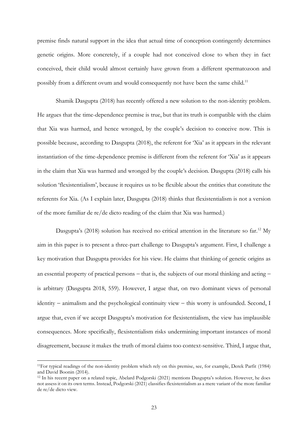premise finds natural support in the idea that actual time of conception contingently determines genetic origins. More concretely, if a couple had not conceived close to when they in fact conceived, their child would almost certainly have grown from a different spermatozoon and possibly from a different ovum and would consequently not have been the same child.<sup>11</sup>

Shamik Dasgupta (2018) has recently offered a new solution to the non-identity problem. He argues that the time-dependence premise is true, but that its truth is compatible with the claim that Xia was harmed, and hence wronged, by the couple's decision to conceive now. This is possible because, according to Dasgupta (2018), the referent for 'Xia' as it appears in the relevant instantiation of the time-dependence premise is different from the referent for 'Xia' as it appears in the claim that Xia was harmed and wronged by the couple's decision. Dasgupta (2018) calls his solution 'flexistentialism', because it requires us to be flexible about the entities that constitute the referents for Xia. (As I explain later, Dasgupta (2018) thinks that flexistentialism is not a version of the more familiar de re/de dicto reading of the claim that Xia was harmed.)

Dasgupta's (2018) solution has received no critical attention in the literature so far.<sup>12</sup> My aim in this paper is to present a three-part challenge to Dasgupta's argument. First, I challenge a key motivation that Dasgupta provides for his view. He claims that thinking of genetic origins as an essential property of practical persons – that is, the subjects of our moral thinking and acting – is arbitrary (Dasgupta 2018, 559). However, I argue that, on two dominant views of personal identity − animalism and the psychological continuity view − this worry is unfounded. Second, I argue that, even if we accept Dasgupta's motivation for flexistentialism, the view has implausible consequences. More specifically, flexistentialism risks undermining important instances of moral disagreement, because it makes the truth of moral claims too context-sensitive. Third, I argue that,

<sup>11</sup>For typical readings of the non-identity problem which rely on this premise, see, for example, Derek Parfit (1984) and David Boonin (2014).

<sup>12</sup> In his recent paper on a related topic, Abelard Podgorski (2021) mentions Dasgupta's solution. However, he does not assess it on its own terms. Instead, Podgorski (2021) classifies flexistentialism as a mere variant of the more familiar de re/de dicto view.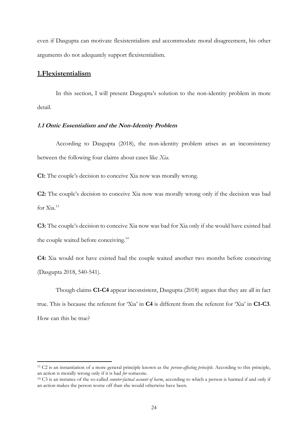even if Dasgupta can motivate flexistentialism and accommodate moral disagreement, his other arguments do not adequately support flexistentialism.

### **1.Flexistentialism**

In this section, I will present Dasgupta's solution to the non-identity problem in more detail.

### **1.1 Ontic Essentialism and the Non-Identity Problem**

According to Dasgupta (2018), the non-identity problem arises as an inconsistency between the following four claims about cases like *Xia.*

**C1:** The couple's decision to conceive Xia now was morally wrong.

**C2:** The couple's decision to conceive Xia now was morally wrong only if the decision was bad for  $X_i$ <sup>13</sup>

**C3:** The couple's decision to conceive Xia now was bad for Xia only if she would have existed had the couple waited before conceiving.<sup>14</sup>

**C4:** Xia would not have existed had the couple waited another two months before conceiving (Dasgupta 2018, 540-541).

Though claims **C1-C4** appear inconsistent, Dasgupta (2018) argues that they are all in fact true. This is because the referent for 'Xia' in **C4** is different from the referent for 'Xia' in **C1-C3**. How can this be true?

<sup>13</sup> C2 is an instantiation of a more general principle known as the *person-affecting principle.* According to this principle, an action is morally wrong only if it is bad *for* someone.

<sup>14</sup> C3 is an instance of the so-called *counter-factual account of harm*, according to which a person is harmed if and only if an action makes the person worse off than she would otherwise have been.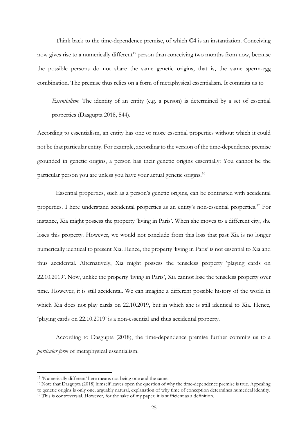Think back to the time-dependence premise, of which **C4** is an instantiation. Conceiving now gives rise to a numerically different<sup>15</sup> person than conceiving two months from now, because the possible persons do not share the same genetic origins, that is, the same sperm-egg combination. The premise thus relies on a form of metaphysical essentialism. It commits us to

*Essentialism*: The identity of an entity (e.g. a person) is determined by a set of essential properties (Dasgupta 2018, 544).

According to essentialism, an entity has one or more essential properties without which it could not be that particular entity. For example, according to the version of the time-dependence premise grounded in genetic origins, a person has their genetic origins essentially: You cannot be the particular person you are unless you have your actual genetic origins.<sup>16</sup>

Essential properties, such as a person's genetic origins, can be contrasted with accidental properties. I here understand accidental properties as an entity's non-essential properties.<sup>17</sup> For instance, Xia might possess the property 'living in Paris'. When she moves to a different city, she loses this property. However, we would not conclude from this loss that past Xia is no longer numerically identical to present Xia. Hence, the property 'living in Paris' is not essential to Xia and thus accidental. Alternatively, Xia might possess the tenseless property 'playing cards on 22.10.2019'. Now, unlike the property 'living in Paris', Xia cannot lose the tenseless property over time. However, it is still accidental. We can imagine a different possible history of the world in which Xia does not play cards on 22.10.2019, but in which she is still identical to Xia. Hence, 'playing cards on 22.10.2019' is a non-essential and thus accidental property.

According to Dasgupta (2018), the time-dependence premise further commits us to a *particular form* of metaphysical essentialism.

<sup>15</sup> 'Numerically different' here means not being one and the same.

<sup>16</sup> Note that Dasgupta (2018) himself leaves open the question of why the time-dependence premise is true. Appealing to genetic origins is only one, arguably natural, explanation of why time of conception determines numerical identity. <sup>17</sup> This is controversial. However, for the sake of my paper, it is sufficient as a definition.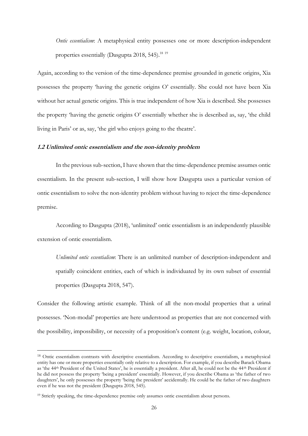*Ontic essentialism*: A metaphysical entity possesses one or more description-independent properties essentially (Dasgupta  $2018$ , 545).<sup>18 19</sup>

Again, according to the version of the time-dependence premise grounded in genetic origins, Xia possesses the property 'having the genetic origins O' essentially. She could not have been Xia without her actual genetic origins. This is true independent of how Xia is described. She possesses the property 'having the genetic origins O' essentially whether she is described as, say, 'the child living in Paris' or as, say, 'the girl who enjoys going to the theatre'.

#### **1.2 Unlimited ontic essentialism and the non-identity problem**

In the previous sub-section, I have shown that the time-dependence premise assumes ontic essentialism. In the present sub-section, I will show how Dasgupta uses a particular version of ontic essentialism to solve the non-identity problem without having to reject the time-dependence premise.

According to Dasgupta (2018), 'unlimited' ontic essentialism is an independently plausible extension of ontic essentialism.

*Unlimited ontic essentialism*: There is an unlimited number of description-independent and spatially coincident entities, each of which is individuated by its own subset of essential properties (Dasgupta 2018, 547).

Consider the following artistic example. Think of all the non-modal properties that a urinal possesses. 'Non-modal' properties are here understood as properties that are not concerned with the possibility, impossibility, or necessity of a proposition's content (e.g. weight, location, colour,

<sup>18</sup> Ontic essentialism contrasts with descriptive essentialism. According to descriptive essentialism, a metaphysical entity has one or more properties essentially only relative to a description. For example, if you describe Barack Obama as 'the 44th President of the United States', he is essentially a president. After all, he could not be the 44th President if he did not possess the property 'being a president' essentially. However, if you describe Obama as 'the father of two daughters', he only possesses the property 'being the president' accidentally. He could be the father of two daughters even if he was not the president (Dasgupta 2018, 545).

<sup>&</sup>lt;sup>19</sup> Strictly speaking, the time-dependence premise only assumes ontic essentialism about persons.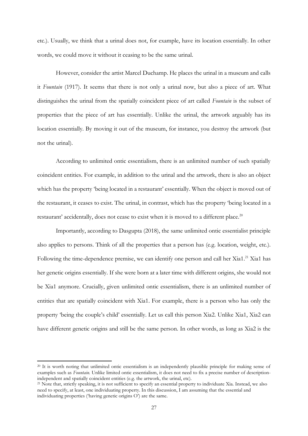etc.). Usually, we think that a urinal does not, for example, have its location essentially. In other words, we could move it without it ceasing to be the same urinal.

However, consider the artist Marcel Duchamp. He places the urinal in a museum and calls it *Fountain* (1917). It seems that there is not only a urinal now, but also a piece of art. What distinguishes the urinal from the spatially coincident piece of art called *Fountain* is the subset of properties that the piece of art has essentially. Unlike the urinal, the artwork arguably has its location essentially. By moving it out of the museum, for instance, you destroy the artwork (but not the urinal).

According to unlimited ontic essentialism, there is an unlimited number of such spatially coincident entities. For example, in addition to the urinal and the artwork, there is also an object which has the property 'being located in a restaurant' essentially. When the object is moved out of the restaurant, it ceases to exist. The urinal, in contrast, which has the property 'being located in a restaurant' accidentally, does not cease to exist when it is moved to a different place.<sup>20</sup>

Importantly, according to Dasgupta (2018), the same unlimited ontic essentialist principle also applies to persons. Think of all the properties that a person has (e.g. location, weight, etc.). Following the time-dependence premise, we can identify one person and call her Xia1.<sup>21</sup> Xia1 has her genetic origins essentially. If she were born at a later time with different origins, she would not be Xia1 anymore. Crucially, given unlimited ontic essentialism, there is an unlimited number of entities that are spatially coincident with Xia1. For example, there is a person who has only the property 'being the couple's child' essentially. Let us call this person Xia2. Unlike Xia1, Xia2 can have different genetic origins and still be the same person. In other words, as long as Xia2 is the

<sup>&</sup>lt;sup>20</sup> It is worth noting that unlimited ontic essentialism is an independently plausible principle for making sense of examples such as *Fountain.* Unlike limited ontic essentialism, it does not need to fix a precise number of descriptionindependent and spatially coincident entities (e.g. the artwork, the urinal, etc).

<sup>&</sup>lt;sup>21</sup> Note that, strictly speaking, it is not sufficient to specify an essential property to individuate Xia. Instead, we also need to specify, at least, one individuating property. In this discussion, I am assuming that the essential and individuating properties ('having genetic origins O') are the same.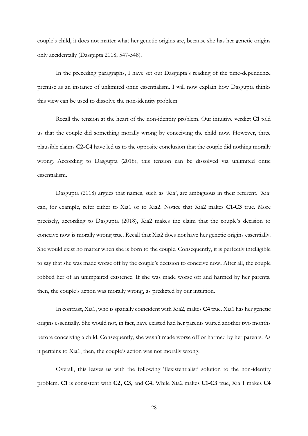couple's child, it does not matter what her genetic origins are, because she has her genetic origins only accidentally (Dasgupta 2018, 547-548).

In the preceding paragraphs, I have set out Dasgupta's reading of the time-dependence premise as an instance of unlimited ontic essentialism. I will now explain how Dasgupta thinks this view can be used to dissolve the non-identity problem.

Recall the tension at the heart of the non-identity problem. Our intuitive verdict **C1** told us that the couple did something morally wrong by conceiving the child now. However, three plausible claims **C2-C4** have led us to the opposite conclusion that the couple did nothing morally wrong. According to Dasgupta (2018), this tension can be dissolved via unlimited ontic essentialism.

Dasgupta (2018) argues that names, such as 'Xia', are ambiguous in their referent. 'Xia' can, for example, refer either to Xia1 or to Xia2. Notice that Xia2 makes **C1-C3** true. More precisely, according to Dasgupta (2018), Xia2 makes the claim that the couple's decision to conceive now is morally wrong true. Recall that Xia2 does not have her genetic origins essentially. She would exist no matter when she is born to the couple. Consequently, it is perfectly intelligible to say that she was made worse off by the couple's decision to conceive now**.** After all, the couple robbed her of an unimpaired existence. If she was made worse off and harmed by her parents, then, the couple's action was morally wrong**,** as predicted by our intuition.

In contrast, Xia1, who is spatially coincident with Xia2, makes **C4** true. Xia1 has her genetic origins essentially. She would not, in fact, have existed had her parents waited another two months before conceiving a child. Consequently, she wasn't made worse off or harmed by her parents. As it pertains to Xia1, then, the couple's action was not morally wrong.

Overall, this leaves us with the following 'flexistentialist' solution to the non-identity problem. **C1** is consistent with **C2, C3,** and **C4.** While Xia2 makes **C1-C3** true, Xia 1 makes **C4**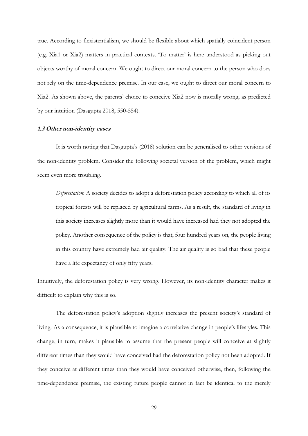true. According to flexistentialism, we should be flexible about which spatially coincident person (e.g. Xia1 or Xia2) matters in practical contexts. 'To matter' is here understood as picking out objects worthy of moral concern. We ought to direct our moral concern to the person who does not rely on the time-dependence premise. In our case, we ought to direct our moral concern to Xia2. As shown above, the parents' choice to conceive Xia2 now is morally wrong, as predicted by our intuition (Dasgupta 2018, 550-554).

#### **1.3 Other non-identity cases**

It is worth noting that Dasgupta's (2018) solution can be generalised to other versions of the non-identity problem. Consider the following societal version of the problem, which might seem even more troubling.

*Deforestation*: A society decides to adopt a deforestation policy according to which all of its tropical forests will be replaced by agricultural farms. As a result, the standard of living in this society increases slightly more than it would have increased had they not adopted the policy. Another consequence of the policy is that, four hundred years on, the people living in this country have extremely bad air quality. The air quality is so bad that these people have a life expectancy of only fifty years.

Intuitively, the deforestation policy is very wrong. However, its non-identity character makes it difficult to explain why this is so.

The deforestation policy's adoption slightly increases the present society's standard of living. As a consequence, it is plausible to imagine a correlative change in people's lifestyles. This change, in turn, makes it plausible to assume that the present people will conceive at slightly different times than they would have conceived had the deforestation policy not been adopted. If they conceive at different times than they would have conceived otherwise, then, following the time-dependence premise, the existing future people cannot in fact be identical to the merely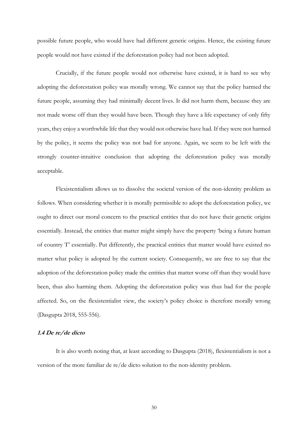possible future people, who would have had different genetic origins. Hence, the existing future people would not have existed if the deforestation policy had not been adopted.

Crucially, if the future people would not otherwise have existed, it is hard to see why adopting the deforestation policy was morally wrong. We cannot say that the policy harmed the future people, assuming they had minimally decent lives. It did not harm them, because they are not made worse off than they would have been. Though they have a life expectancy of only fifty years, they enjoy a worthwhile life that they would not otherwise have had. If they were not harmed by the policy, it seems the policy was not bad for anyone. Again, we seem to be left with the strongly counter-intuitive conclusion that adopting the deforestation policy was morally acceptable.

Flexistentialism allows us to dissolve the societal version of the non-identity problem as follows. When considering whether it is morally permissible to adopt the deforestation policy, we ought to direct our moral concern to the practical entities that do not have their genetic origins essentially. Instead, the entities that matter might simply have the property 'being a future human of country T' essentially. Put differently, the practical entities that matter would have existed no matter what policy is adopted by the current society. Consequently, we are free to say that the adoption of the deforestation policy made the entities that matter worse off than they would have been, thus also harming them. Adopting the deforestation policy was thus bad for the people affected. So, on the flexistentialist view, the society's policy choice is therefore morally wrong (Dasgupta 2018, 555-556).

#### **1.4 De re/de dicto**

It is also worth noting that, at least according to Dasgupta (2018), flexistentialism is not a version of the more familiar de re/de dicto solution to the non-identity problem.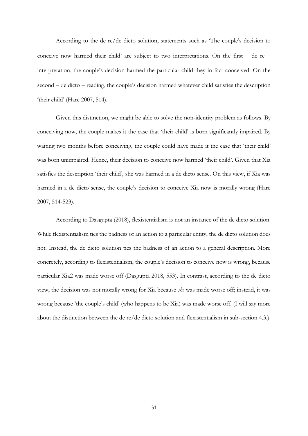According to the de re/de dicto solution, statements such as 'The couple's decision to conceive now harmed their child' are subject to two interpretations. On the first − de re − interpretation, the couple's decision harmed the particular child they in fact conceived. On the second − de dicto − reading, the couple's decision harmed whatever child satisfies the description 'their child' (Hare 2007, 514).

Given this distinction, we might be able to solve the non-identity problem as follows. By conceiving now, the couple makes it the case that 'their child' is born significantly impaired. By waiting two months before conceiving, the couple could have made it the case that 'their child' was born unimpaired. Hence, their decision to conceive now harmed 'their child'. Given that Xia satisfies the description 'their child', she was harmed in a de dicto sense. On this view, if Xia was harmed in a de dicto sense, the couple's decision to conceive Xia now is morally wrong (Hare 2007, 514-523).

According to Dasgupta (2018), flexistentialism is not an instance of the de dicto solution. While flexistentialism ties the badness of an action to a particular entity, the de dicto solution does not. Instead, the de dicto solution ties the badness of an action to a general description. More concretely, according to flexistentialism, the couple's decision to conceive now is wrong, because particular Xia2 was made worse off (Dasgupta 2018, 553). In contrast, according to the de dicto view, the decision was not morally wrong for Xia because *she* was made worse off; instead, it was wrong because 'the couple's child' (who happens to be Xia) was made worse off. (I will say more about the distinction between the de re/de dicto solution and flexistentialism in sub-section 4.3.)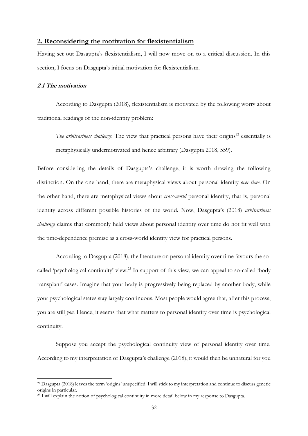### **2. Reconsidering the motivation for flexistentialism**

Having set out Dasgupta's flexistentialism, I will now move on to a critical discussion. In this section, I focus on Dasgupta's initial motivation for flexistentialism.

#### **2.1 The motivation**

According to Dasgupta (2018), flexistentialism is motivated by the following worry about traditional readings of the non-identity problem:

*The arbitrariness challenge*: The view that practical persons have their origins<sup>22</sup> essentially is metaphysically undermotivated and hence arbitrary (Dasgupta 2018, 559).

Before considering the details of Dasgupta's challenge, it is worth drawing the following distinction. On the one hand, there are metaphysical views about personal identity *over time*. On the other hand, there are metaphysical views about *cross-world* personal identity, that is, personal identity across different possible histories of the world. Now, Dasgupta's (2018) *arbitrariness challenge* claims that commonly held views about personal identity over time do not fit well with the time-dependence premise as a cross-world identity view for practical persons.

According to Dasgupta (2018), the literature on personal identity over time favours the socalled 'psychological continuity' view.<sup>23</sup> In support of this view, we can appeal to so-called 'body transplant' cases. Imagine that your body is progressively being replaced by another body, while your psychological states stay largely continuous. Most people would agree that, after this process, you are still *you.* Hence, it seems that what matters to personal identity over time is psychological continuity.

Suppose you accept the psychological continuity view of personal identity over time. According to my interpretation of Dasgupta's challenge (2018), it would then be unnatural for you

<sup>22</sup> Dasgupta (2018) leaves the term 'origins' unspecified. I will stick to my interpretation and continue to discuss genetic origins in particular.

<sup>&</sup>lt;sup>23</sup> I will explain the notion of psychological continuity in more detail below in my response to Dasgupta.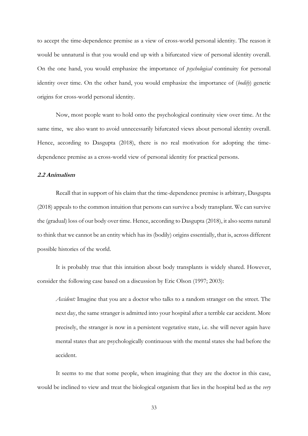to accept the time-dependence premise as a view of cross-world personal identity. The reason it would be unnatural is that you would end up with a bifurcated view of personal identity overall. On the one hand, you would emphasize the importance of *psychological* continuity for personal identity over time. On the other hand, you would emphasize the importance of (*bodily*) genetic origins for cross-world personal identity.

Now, most people want to hold onto the psychological continuity view over time. At the same time, we also want to avoid unnecessarily bifurcated views about personal identity overall. Hence, according to Dasgupta (2018), there is no real motivation for adopting the timedependence premise as a cross-world view of personal identity for practical persons.

#### **2.2 Animalism**

Recall that in support of his claim that the time-dependence premise is arbitrary, Dasgupta (2018) appeals to the common intuition that persons can survive a body transplant. We can survive the (gradual) loss of our body over time. Hence, according to Dasgupta (2018), it also seems natural to think that we cannot be an entity which has its (bodily) origins essentially, that is, across different possible histories of the world.

It is probably true that this intuition about body transplants is widely shared. However, consider the following case based on a discussion by Eric Olson (1997; 2003):

*Accident:* Imagine that you are a doctor who talks to a random stranger on the street. The next day, the same stranger is admitted into your hospital after a terrible car accident. More precisely, the stranger is now in a persistent vegetative state, i.e. she will never again have mental states that are psychologically continuous with the mental states she had before the accident.

It seems to me that some people, when imagining that they are the doctor in this case, would be inclined to view and treat the biological organism that lies in the hospital bed as the *very*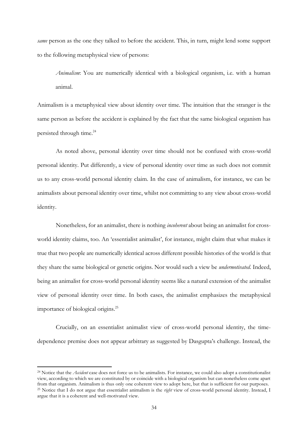*same* person as the one they talked to before the accident. This, in turn, might lend some support to the following metaphysical view of persons:

*Animalism*: You are numerically identical with a biological organism, i.e. with a human animal.

Animalism is a metaphysical view about identity over time. The intuition that the stranger is the same person as before the accident is explained by the fact that the same biological organism has persisted through time.<sup>24</sup>

As noted above, personal identity over time should not be confused with cross-world personal identity. Put differently, a view of personal identity over time as such does not commit us to any cross-world personal identity claim. In the case of animalism, for instance, we can be animalists about personal identity over time, whilst not committing to any view about cross-world identity.

Nonetheless, for an animalist, there is nothing *incoherent* about being an animalist for crossworld identity claims, too. An 'essentialist animalist', for instance, might claim that what makes it true that two people are numerically identical across different possible histories of the world is that they share the same biological or genetic origins. Nor would such a view be *undermotivated*. Indeed, being an animalist for cross-world personal identity seems like a natural extension of the animalist view of personal identity over time. In both cases, the animalist emphasizes the metaphysical importance of biological origins.<sup>25</sup>

Crucially, on an essentialist animalist view of cross-world personal identity, the timedependence premise does not appear arbitrary as suggested by Dasgupta's challenge. Instead, the

<sup>24</sup> Notice that the *Accident* case does not force us to be animalists. For instance, we could also adopt a constitutionalist view, according to which we are constituted by or coincide with a biological organism but can nonetheless come apart from that organism. Animalism is thus only one coherent view to adopt here, but that is sufficient for our purposes. <sup>25</sup> Notice that I do not argue that essentialist animalism is the *right* view of cross-world personal identity. Instead, I argue that it is a coherent and well-motivated view.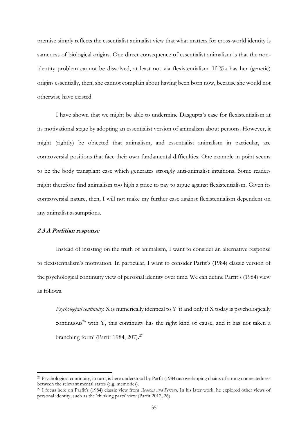premise simply reflects the essentialist animalist view that what matters for cross-world identity is sameness of biological origins. One direct consequence of essentialist animalism is that the nonidentity problem cannot be dissolved, at least not via flexistentialism. If Xia has her (genetic) origins essentially, then, she cannot complain about having been born now, because she would not otherwise have existed.

I have shown that we might be able to undermine Dasgupta's case for flexistentialism at its motivational stage by adopting an essentialist version of animalism about persons. However, it might (rightly) be objected that animalism, and essentialist animalism in particular, are controversial positions that face their own fundamental difficulties. One example in point seems to be the body transplant case which generates strongly anti-animalist intuitions. Some readers might therefore find animalism too high a price to pay to argue against flexistentialism. Given its controversial nature, then, I will not make my further case against flexistentialism dependent on any animalist assumptions.

#### **2.3 A Parfitian response**

Instead of insisting on the truth of animalism, I want to consider an alternative response to flexistentialism's motivation. In particular, I want to consider Parfit's (1984) classic version of the psychological continuity view of personal identity over time. We can define Parfit's (1984) view as follows.

*Psychological continuity*: X is numerically identical to Y 'if and only if X today is psychologically continuous<sup>26</sup> with Y, this continuity has the right kind of cause, and it has not taken a branching form' (Parfit 1984, 207).<sup>27</sup>

<sup>&</sup>lt;sup>26</sup> Psychological continuity, in turn, is here understood by Parfit (1984) as overlapping chains of strong connectedness between the relevant mental states (e.g. memories).

<sup>27</sup> I focus here on Parfit's (1984) classic view from *Reasons and Persons.* In his later work, he explored other views of personal identity, such as the 'thinking parts' view (Parfit 2012, 26).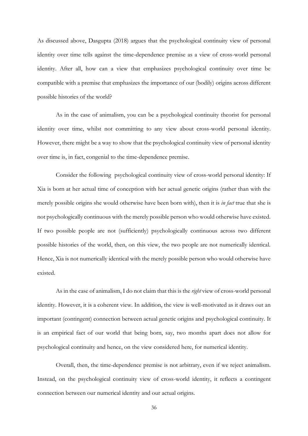As discussed above, Dasgupta (2018) argues that the psychological continuity view of personal identity over time tells against the time-dependence premise as a view of cross-world personal identity. After all, how can a view that emphasizes psychological continuity over time be compatible with a premise that emphasizes the importance of our (bodily) origins across different possible histories of the world?

As in the case of animalism, you can be a psychological continuity theorist for personal identity over time, whilst not committing to any view about cross-world personal identity. However, there might be a way to show that the psychological continuity view of personal identity over time is, in fact, congenial to the time-dependence premise.

Consider the following psychological continuity view of cross-world personal identity: If Xia is born at her actual time of conception with her actual genetic origins (rather than with the merely possible origins she would otherwise have been born with), then it is *in fact* true that she is not psychologically continuous with the merely possible person who would otherwise have existed. If two possible people are not (sufficiently) psychologically continuous across two different possible histories of the world, then, on this view, the two people are not numerically identical. Hence, Xia is not numerically identical with the merely possible person who would otherwise have existed.

As in the case of animalism, I do not claim that this is the *right* view of cross-world personal identity. However, it is a coherent view. In addition, the view is well-motivated as it draws out an important (contingent) connection between actual genetic origins and psychological continuity. It is an empirical fact of our world that being born, say, two months apart does not allow for psychological continuity and hence, on the view considered here, for numerical identity.

Overall, then, the time-dependence premise is not arbitrary, even if we reject animalism. Instead, on the psychological continuity view of cross-world identity, it reflects a contingent connection between our numerical identity and our actual origins.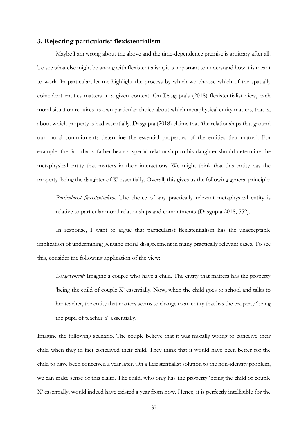# **3. Rejecting particularist flexistentialism**

Maybe I am wrong about the above and the time-dependence premise is arbitrary after all. To see what else might be wrong with flexistentialism, it is important to understand how it is meant to work. In particular, let me highlight the process by which we choose which of the spatially coincident entities matters in a given context. On Dasgupta's (2018) flexistentialist view, each moral situation requires its own particular choice about which metaphysical entity matters, that is, about which property is had essentially. Dasgupta (2018) claims that 'the relationships that ground our moral commitments determine the essential properties of the entities that matter'. For example, the fact that a father bears a special relationship to his daughter should determine the metaphysical entity that matters in their interactions. We might think that this entity has the property 'being the daughter of X' essentially. Overall, this gives us the following general principle:

*Particularist flexistentialism:* The choice of any practically relevant metaphysical entity is relative to particular moral relationships and commitments (Dasgupta 2018, 552).

In response, I want to argue that particularist flexistentialism has the unacceptable implication of undermining genuine moral disagreement in many practically relevant cases. To see this, consider the following application of the view:

*Disagreement:* Imagine a couple who have a child. The entity that matters has the property 'being the child of couple X' essentially. Now, when the child goes to school and talks to her teacher, the entity that matters seems to change to an entity that has the property 'being the pupil of teacher Y' essentially.

Imagine the following scenario. The couple believe that it was morally wrong to conceive their child when they in fact conceived their child. They think that it would have been better for the child to have been conceived a year later. On a flexistentialist solution to the non-identity problem, we can make sense of this claim. The child, who only has the property 'being the child of couple X' essentially, would indeed have existed a year from now. Hence, it is perfectly intelligible for the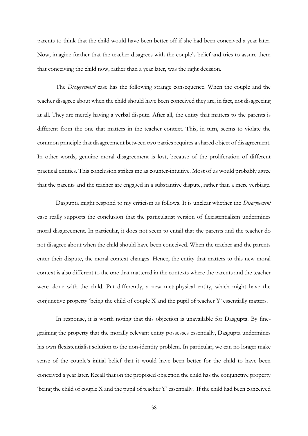parents to think that the child would have been better off if she had been conceived a year later. Now, imagine further that the teacher disagrees with the couple's belief and tries to assure them that conceiving the child now, rather than a year later, was the right decision.

The *Disagreement* case has the following strange consequence. When the couple and the teacher disagree about when the child should have been conceived they are, in fact, not disagreeing at all. They are merely having a verbal dispute. After all, the entity that matters to the parents is different from the one that matters in the teacher context. This, in turn, seems to violate the common principle that disagreement between two parties requires a shared object of disagreement. In other words, genuine moral disagreement is lost, because of the proliferation of different practical entities. This conclusion strikes me as counter-intuitive. Most of us would probably agree that the parents and the teacher are engaged in a substantive dispute, rather than a mere verbiage.

Dasgupta might respond to my criticism as follows. It is unclear whether the *Disagreement* case really supports the conclusion that the particularist version of flexistentialism undermines moral disagreement. In particular, it does not seem to entail that the parents and the teacher do not disagree about when the child should have been conceived. When the teacher and the parents enter their dispute, the moral context changes. Hence, the entity that matters to this new moral context is also different to the one that mattered in the contexts where the parents and the teacher were alone with the child. Put differently, a new metaphysical entity, which might have the conjunctive property 'being the child of couple X and the pupil of teacher Y' essentially matters.

In response, it is worth noting that this objection is unavailable for Dasgupta. By finegraining the property that the morally relevant entity possesses essentially, Dasgupta undermines his own flexistentialist solution to the non-identity problem. In particular, we can no longer make sense of the couple's initial belief that it would have been better for the child to have been conceived a year later. Recall that on the proposed objection the child has the conjunctive property 'being the child of couple X and the pupil of teacher Y' essentially. If the child had been conceived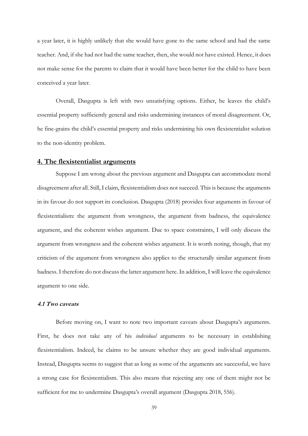a year later, it is highly unlikely that she would have gone to the same school and had the same teacher. And, if she had not had the same teacher, then, she would not have existed. Hence, it does not make sense for the parents to claim that it would have been better for the child to have been conceived a year later.

Overall, Dasgupta is left with two unsatisfying options. Either, he leaves the child's essential property sufficiently general and risks undermining instances of moral disagreement. Or, he fine-grains the child's essential property and risks undermining his own flexistentialist solution to the non-identity problem.

## **4. The flexistentialist arguments**

Suppose I am wrong about the previous argument and Dasgupta can accommodate moral disagreement after all. Still, I claim, flexistentialism does not succeed. This is because the arguments in its favour do not support its conclusion. Dasgupta (2018) provides four arguments in favour of flexistentialism: the argument from wrongness, the argument from badness, the equivalence argument, and the coherent wishes argument. Due to space constraints, I will only discuss the argument from wrongness and the coherent wishes argument. It is worth noting, though, that my criticism of the argument from wrongness also applies to the structurally similar argument from badness. I therefore do not discuss the latter argument here. In addition, I will leave the equivalence argument to one side.

## **4.1 Two caveats**

Before moving on, I want to note two important caveats about Dasgupta's arguments. First, he does not take any of his *individual* arguments to be necessary in establishing flexistentialism. Indeed, he claims to be unsure whether they are good individual arguments. Instead, Dasgupta seems to suggest that as long as some of the arguments are successful, we have a strong case for flexistentialism. This also means that rejecting any one of them might not be sufficient for me to undermine Dasgupta's overall argument (Dasgupta 2018, 556).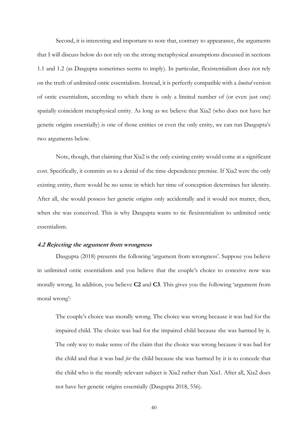Second, it is interesting and important to note that, contrary to appearance, the arguments that I will discuss below do not rely on the strong metaphysical assumptions discussed in sections 1.1 and 1.2 (as Dasgupta sometimes seems to imply). In particular, flexistentialism does not rely on the truth of unlimited ontic essentialism. Instead, it is perfectly compatible with a *limited* version of ontic essentialism, according to which there is only a limited number of (or even just one) spatially coincident metaphysical entity. As long as we believe that Xia2 (who does not have her genetic origins essentially) is one of those entities or even the only entity, we can run Dasgupta's two arguments below.

Note, though, that claiming that Xia2 is the only existing entity would come at a significant cost. Specifically, it commits us to a denial of the time-dependence premise. If Xia2 were the only existing entity, there would be no sense in which her time of conception determines her identity. After all, she would possess her genetic origins only accidentally and it would not matter, then, when she was conceived. This is why Dasgupta wants to tie flexistentialism to unlimited ontic essentialism.

### **4.2 Rejecting the argument from wrongness**

Dasgupta (2018) presents the following 'argument from wrongness'. Suppose you believe in unlimited ontic essentialism and you believe that the couple's choice to conceive now was morally wrong. In addition, you believe **C2** and **C3**. This gives you the following 'argument from moral wrong':

The couple's choice was morally wrong. The choice was wrong because it was bad for the impaired child. The choice was bad for the impaired child because she was harmed by it. The only way to make sense of the claim that the choice was wrong because it was bad for the child and that it was bad *for* the child because she was harmed by it is to concede that the child who is the morally relevant subject is Xia2 rather than Xia1. After all, Xia2 does not have her genetic origins essentially (Dasgupta 2018, 556).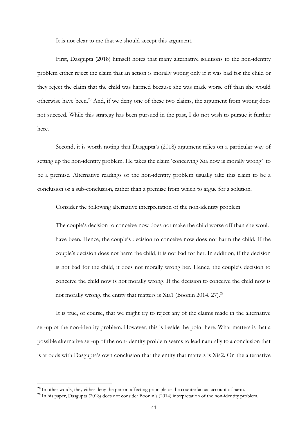It is not clear to me that we should accept this argument.

First, Dasgupta (2018) himself notes that many alternative solutions to the non-identity problem either reject the claim that an action is morally wrong only if it was bad for the child or they reject the claim that the child was harmed because she was made worse off than she would otherwise have been.<sup>28</sup> And, if we deny one of these two claims, the argument from wrong does not succeed. While this strategy has been pursued in the past, I do not wish to pursue it further here.

Second, it is worth noting that Dasgupta's (2018) argument relies on a particular way of setting up the non-identity problem. He takes the claim 'conceiving Xia now is morally wrong' to be a premise. Alternative readings of the non-identity problem usually take this claim to be a conclusion or a sub-conclusion, rather than a premise from which to argue for a solution.

Consider the following alternative interpretation of the non-identity problem.

The couple's decision to conceive now does not make the child worse off than she would have been. Hence, the couple's decision to conceive now does not harm the child. If the couple's decision does not harm the child, it is not bad for her. In addition, if the decision is not bad for the child, it does not morally wrong her. Hence, the couple's decision to conceive the child now is not morally wrong. If the decision to conceive the child now is not morally wrong, the entity that matters is Xia1 (Boonin 2014, 27).<sup>29</sup>

It is true, of course, that we might try to reject any of the claims made in the alternative set-up of the non-identity problem. However, this is beside the point here. What matters is that a possible alternative set-up of the non-identity problem seems to lead naturally to a conclusion that is at odds with Dasgupta's own conclusion that the entity that matters is Xia2. On the alternative

<sup>&</sup>lt;sup>28</sup> In other words, they either deny the person-affecting principle or the counterfactual account of harm.

<sup>&</sup>lt;sup>29</sup> In his paper, Dasgupta (2018) does not consider Boonin's (2014) interpretation of the non-identity problem.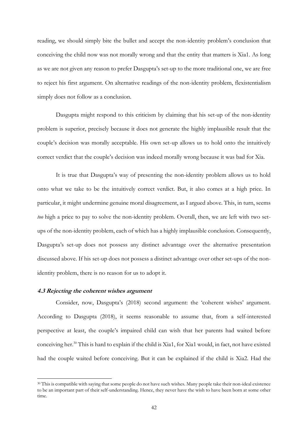reading, we should simply bite the bullet and accept the non-identity problem's conclusion that conceiving the child now was not morally wrong and that the entity that matters is Xia1. As long as we are not given any reason to prefer Dasgupta's set-up to the more traditional one, we are free to reject his first argument. On alternative readings of the non-identity problem, flexistentialism simply does not follow as a conclusion.

Dasgupta might respond to this criticism by claiming that his set-up of the non-identity problem is superior, precisely because it does not generate the highly implausible result that the couple's decision was morally acceptable. His own set-up allows us to hold onto the intuitively correct verdict that the couple's decision was indeed morally wrong because it was bad for Xia.

It is true that Dasgupta's way of presenting the non-identity problem allows us to hold onto what we take to be the intuitively correct verdict. But, it also comes at a high price. In particular, it might undermine genuine moral disagreement, as I argued above. This, in turn, seems *too* high a price to pay to solve the non-identity problem. Overall, then, we are left with two setups of the non-identity problem, each of which has a highly implausible conclusion. Consequently, Dasgupta's set-up does not possess any distinct advantage over the alternative presentation discussed above. If his set-up does not possess a distinct advantage over other set-ups of the nonidentity problem, there is no reason for us to adopt it.

#### **4.3 Rejecting the coherent wishes argument**

Consider, now, Dasgupta's (2018) second argument: the 'coherent wishes' argument. According to Dasgupta (2018), it seems reasonable to assume that, from a self-interested perspective at least, the couple's impaired child can wish that her parents had waited before conceiving her.<sup>30</sup> This is hard to explain if the child is Xia1, for Xia1 would, in fact, not have existed had the couple waited before conceiving. But it can be explained if the child is Xia2. Had the

<sup>&</sup>lt;sup>30</sup> This is compatible with saying that some people do not have such wishes. Many people take their non-ideal existence to be an important part of their self-understanding. Hence, they never have the wish to have been born at some other time.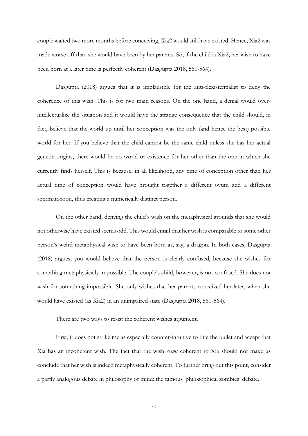couple waited two more months before conceiving, Xia2 would still have existed. Hence, Xia2 was made worse off than she would have been by her parents. So, if the child is Xia2, her wish to have been born at a later time is perfectly coherent (Dasgupta 2018, 560-564).

Dasgupta (2018) argues that it is implausible for the anti-flexistentialist to deny the coherence of this wish. This is for two main reasons. On the one hand, a denial would overintellectualize the situation and it would have the strange consequence that the child should, in fact, believe that the world up until her conception was the only (and hence the best) possible world for her. If you believe that the child cannot be the same child unless she has her actual genetic origins, there would be no world or existence for her other than the one in which she currently finds herself. This is because, in all likelihood, any time of conception other than her actual time of conception would have brought together a different ovum and a different spermatozoon, thus creating a numerically distinct person.

On the other hand, denying the child's wish on the metaphysical grounds that she would not otherwise have existed seems odd. This would entail that her wish is comparable to some other person's weird metaphysical wish to have been born as, say, a dragon. In both cases, Dasgupta (2018) argues, you would believe that the person is clearly confused, because she wishes for something metaphysically impossible. The couple's child, however, is not confused. She does not wish for something impossible. She only wishes that her parents conceived her later, when she would have existed (as Xia2) in an unimpaired state (Dasgupta 2018, 560-564).

There are two ways to resist the coherent wishes argument.

First, it does not strike me as especially counter-intuitive to bite the bullet and accept that Xia has an incoherent wish. The fact that the wish *seems* coherent to Xia should not make us conclude that her wish is indeed metaphysically coherent. To further bring out this point, consider a partly analogous debate in philosophy of mind: the famous 'philosophical zombies' debate.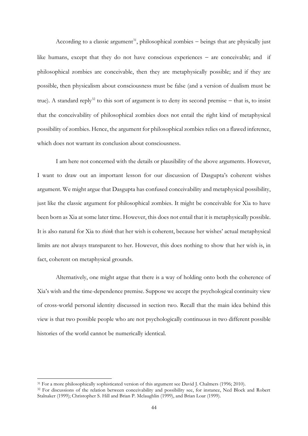According to a classic argument<sup>31</sup>, philosophical zombies – beings that are physically just like humans, except that they do not have conscious experiences − are conceivable; and if philosophical zombies are conceivable, then they are metaphysically possible; and if they are possible, then physicalism about consciousness must be false (and a version of dualism must be true). A standard reply<sup>32</sup> to this sort of argument is to deny its second premise – that is, to insist that the conceivability of philosophical zombies does not entail the right kind of metaphysical possibility of zombies. Hence, the argument for philosophical zombies relies on a flawed inference, which does not warrant its conclusion about consciousness.

I am here not concerned with the details or plausibility of the above arguments. However, I want to draw out an important lesson for our discussion of Dasgupta's coherent wishes argument. We might argue that Dasgupta has confused conceivability and metaphysical possibility, just like the classic argument for philosophical zombies. It might be conceivable for Xia to have been born as Xia at some later time. However, this does not entail that it is metaphysically possible. It is also natural for Xia to *think* that her wish is coherent, because her wishes' actual metaphysical limits are not always transparent to her. However, this does nothing to show that her wish is, in fact, coherent on metaphysical grounds.

Alternatively, one might argue that there is a way of holding onto both the coherence of Xia's wish and the time-dependence premise. Suppose we accept the psychological continuity view of cross-world personal identity discussed in section two. Recall that the main idea behind this view is that two possible people who are not psychologically continuous in two different possible histories of the world cannot be numerically identical.

<sup>&</sup>lt;sup>31</sup> For a more philosophically sophisticated version of this argument see David J. Chalmers (1996; 2010).

<sup>&</sup>lt;sup>32</sup> For discussions of the relation between conceivability and possibility see, for instance, Ned Block and Robert Stalnaker (1999); Christopher S. Hill and Brian P. Mclaughlin (1999), and Brian Loar (1999).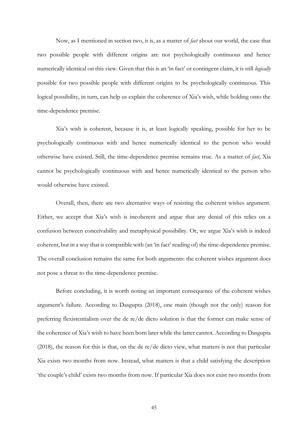Now, as I mentioned in section two, it is, as a matter of *fact* about our world, the case that two possible people with different origins are not psychologically continuous and hence numerically identical on this view. Given that this is an 'in fact' or contingent claim, it is still *logically* possible for two possible people with different origins to be psychologically continuous. This logical possibility, in turn, can help us explain the coherence of Xia's wish, while holding onto the time-dependence premise.

Xia's wish is coherent, because it is, at least logically speaking, possible for her to be psychologically continuous with and hence numerically identical to the person who would otherwise have existed. Still, the time-dependence premise remains true. As a matter of *fact*, Xia cannot be psychologically continuous with and hence numerically identical to the person who would otherwise have existed.

Overall, then, there are two alternative ways of resisting the coherent wishes argument. Either, we accept that Xia's wish is incoherent and argue that any denial of this relies on a confusion between conceivability and metaphysical possibility. Or, we argue Xia's wish is indeed coherent, but in a way that is compatible with (an 'in fact' reading of) the time-dependence premise. The overall conclusion remains the same for both arguments: the coherent wishes argument does not pose a threat to the time-dependence premise.

Before concluding, it is worth noting an important consequence of the coherent wishes argument's failure. According to Dasgupta (2018), one main (though not the only) reason for preferring flexistentialism over the de re/de dicto solution is that the former can make sense of the coherence of Xia's wish to have been born later while the latter cannot. According to Dasgupta (2018), the reason for this is that, on the de re/de dicto view, what matters is not that particular Xia exists two months from now. Instead, what matters is that a child satisfying the description 'the couple's child' exists two months from now. If particular Xia does not exist two months from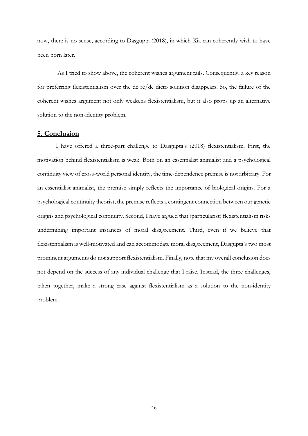now, there is no sense, according to Dasgupta (2018), in which Xia can coherently wish to have been born later.

As I tried to show above, the coherent wishes argument fails. Consequently, a key reason for preferring flexistentialism over the de re/de dicto solution disappears. So, the failure of the coherent wishes argument not only weakens flexistentialism, but it also props up an alternative solution to the non-identity problem.

## **5. Conclusion**

I have offered a three-part challenge to Dasgupta's (2018) flexistentialism. First, the motivation behind flexistentialism is weak. Both on an essentialist animalist and a psychological continuity view of cross-world personal identity, the time-dependence premise is not arbitrary. For an essentialist animalist, the premise simply reflects the importance of biological origins. For a psychological continuity theorist, the premise reflects a contingent connection between our genetic origins and psychological continuity. Second, I have argued that (particularist) flexistentialism risks undermining important instances of moral disagreement. Third, even if we believe that flexistentialism is well-motivated and can accommodate moral disagreement, Dasgupta's two most prominent arguments do not support flexistentialism. Finally, note that my overall conclusion does not depend on the success of any individual challenge that I raise. Instead, the three challenges, taken together, make a strong case against flexistentialism as a solution to the non-identity problem.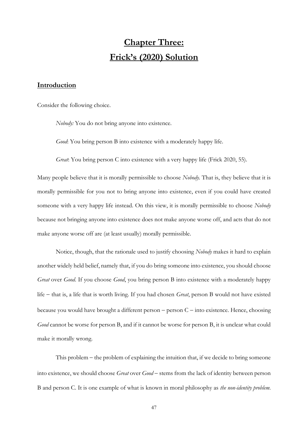# **Chapter Three: Frick's (2020) Solution**

# **Introduction**

Consider the following choice.

*Nobody:* You do not bring anyone into existence.

*Good*: You bring person B into existence with a moderately happy life.

*Great*: You bring person C into existence with a very happy life (Frick 2020, 55).

Many people believe that it is morally permissible to choose *Nobody.* That is, they believe that it is morally permissible for you not to bring anyone into existence, even if you could have created someone with a very happy life instead. On this view, it is morally permissible to choose *Nobody* because not bringing anyone into existence does not make anyone worse off, and acts that do not make anyone worse off are (at least usually) morally permissible.

Notice, though, that the rationale used to justify choosing *Nobody* makes it hard to explain another widely held belief, namely that, if you do bring someone into existence, you should choose *Great* over *Good*. If you choose *Good*, you bring person B into existence with a moderately happy life − that is, a life that is worth living. If you had chosen *Great*, person B would not have existed because you would have brought a different person − person C − into existence. Hence, choosing *Good* cannot be worse for person B, and if it cannot be worse for person B, it is unclear what could make it morally wrong.

This problem − the problem of explaining the intuition that, if we decide to bring someone into existence, we should choose *Great* over *Good* − stems from the lack of identity between person B and person C. It is one example of what is known in moral philosophy as *the non-identity problem*.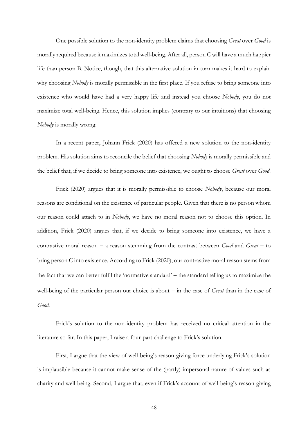One possible solution to the non-identity problem claims that choosing *Great* over *Good* is morally required because it maximizes total well-being. After all, person C will have a much happier life than person B. Notice, though, that this alternative solution in turn makes it hard to explain why choosing *Nobody* is morally permissible in the first place. If you refuse to bring someone into existence who would have had a very happy life and instead you choose *Nobody*, you do not maximize total well-being. Hence, this solution implies (contrary to our intuitions) that choosing *Nobody* is morally wrong.

In a recent paper, Johann Frick (2020) has offered a new solution to the non-identity problem. His solution aims to reconcile the belief that choosing *Nobody* is morally permissible and the belief that, if we decide to bring someone into existence, we ought to choose *Great* over *Good*.

Frick (2020) argues that it is morally permissible to choose *Nobody*, because our moral reasons are conditional on the existence of particular people. Given that there is no person whom our reason could attach to in *Nobody*, we have no moral reason not to choose this option. In addition, Frick (2020) argues that, if we decide to bring someone into existence, we have a contrastive moral reason − a reason stemming from the contrast between *Good* and *Great* − to bring person C into existence. According to Frick (2020), our contrastive moral reason stems from the fact that we can better fulfil the 'normative standard' − the standard telling us to maximize the well-being of the particular person our choice is about − in the case of *Great* than in the case of *Good*.

Frick's solution to the non-identity problem has received no critical attention in the literature so far. In this paper, I raise a four-part challenge to Frick's solution.

First, I argue that the view of well-being's reason-giving force underlying Frick's solution is implausible because it cannot make sense of the (partly) impersonal nature of values such as charity and well-being. Second, I argue that, even if Frick's account of well-being's reason-giving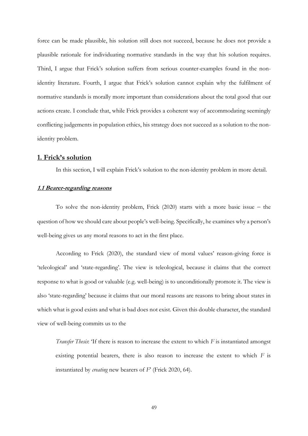force can be made plausible, his solution still does not succeed, because he does not provide a plausible rationale for individuating normative standards in the way that his solution requires. Third, I argue that Frick's solution suffers from serious counter-examples found in the nonidentity literature. Fourth, I argue that Frick's solution cannot explain why the fulfilment of normative standards is morally more important than considerations about the total good that our actions create. I conclude that, while Frick provides a coherent way of accommodating seemingly conflicting judgements in population ethics, his strategy does not succeed as a solution to the nonidentity problem.

# **1. Frick's solution**

In this section, I will explain Frick's solution to the non-identity problem in more detail.

## **1.1 Bearer-regarding reasons**

To solve the non-identity problem, Frick (2020) starts with a more basic issue − the question of how we should care about people's well-being. Specifically, he examines why a person's well-being gives us any moral reasons to act in the first place.

According to Frick (2020), the standard view of moral values' reason-giving force is 'teleological' and 'state-regarding'. The view is teleological, because it claims that the correct response to what is good or valuable (e.g. well-being) is to unconditionally promote it. The view is also 'state-regarding' because it claims that our moral reasons are reasons to bring about states in which what is good exists and what is bad does not exist. Given this double character, the standard view of well-being commits us to the

*Transfer Thesis*: 'If there is reason to increase the extent to which *F* is instantiated amongst existing potential bearers, there is also reason to increase the extent to which *F* is instantiated by *creating* new bearers of *F*' (Frick 2020, 64).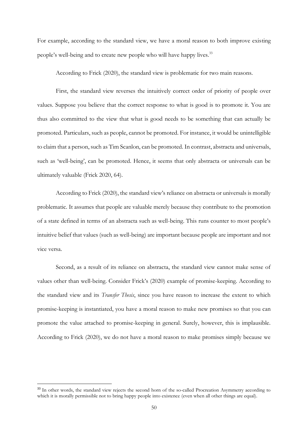For example, according to the standard view, we have a moral reason to both improve existing people's well-being and to create new people who will have happy lives.<sup>33</sup>

According to Frick (2020), the standard view is problematic for two main reasons.

First, the standard view reverses the intuitively correct order of priority of people over values. Suppose you believe that the correct response to what is good is to promote it. You are thus also committed to the view that what is good needs to be something that can actually be promoted. Particulars, such as people, cannot be promoted. For instance, it would be unintelligible to claim that a person, such as Tim Scanlon, can be promoted. In contrast, abstracta and universals, such as 'well-being', can be promoted. Hence, it seems that only abstracta or universals can be ultimately valuable (Frick 2020, 64).

According to Frick (2020), the standard view's reliance on abstracta or universals is morally problematic. It assumes that people are valuable merely because they contribute to the promotion of a state defined in terms of an abstracta such as well-being. This runs counter to most people's intuitive belief that values (such as well-being) are important because people are important and not vice versa.

Second, as a result of its reliance on abstracta, the standard view cannot make sense of values other than well-being. Consider Frick's (2020) example of promise-keeping. According to the standard view and its *Transfer Thesis*, since you have reason to increase the extent to which promise-keeping is instantiated, you have a moral reason to make new promises so that you can promote the value attached to promise-keeping in general. Surely, however, this is implausible. According to Frick (2020), we do not have a moral reason to make promises simply because we

<sup>&</sup>lt;sup>33</sup> In other words, the standard view rejects the second horn of the so-called Procreation Asymmetry according to which it is morally permissible not to bring happy people into existence (even when all other things are equal).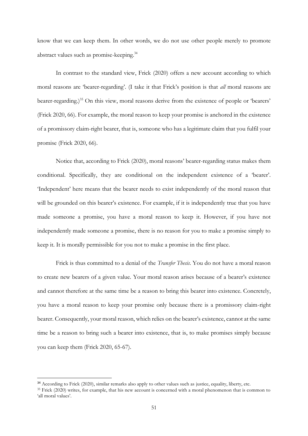know that we can keep them. In other words, we do not use other people merely to promote abstract values such as promise-keeping.<sup>34</sup>

In contrast to the standard view, Frick (2020) offers a new account according to which moral reasons are 'bearer-regarding'. (I take it that Frick's position is that *all* moral reasons are bearer-regarding.)<sup>35</sup> On this view, moral reasons derive from the existence of people or 'bearers' (Frick 2020, 66). For example, the moral reason to keep your promise is anchored in the existence of a promissory claim-right bearer, that is, someone who has a legitimate claim that you fulfil your promise (Frick 2020, 66).

Notice that, according to Frick (2020), moral reasons' bearer-regarding status makes them conditional. Specifically, they are conditional on the independent existence of a 'bearer'. 'Independent' here means that the bearer needs to exist independently of the moral reason that will be grounded on this bearer's existence. For example, if it is independently true that you have made someone a promise, you have a moral reason to keep it. However, if you have not independently made someone a promise, there is no reason for you to make a promise simply to keep it. It is morally permissible for you not to make a promise in the first place.

Frick is thus committed to a denial of the *Transfer Thesis*. You do not have a moral reason to create new bearers of a given value. Your moral reason arises because of a bearer's existence and cannot therefore at the same time be a reason to bring this bearer into existence. Concretely, you have a moral reason to keep your promise only because there is a promissory claim-right bearer. Consequently, your moral reason, which relies on the bearer's existence, cannot at the same time be a reason to bring such a bearer into existence, that is, to make promises simply because you can keep them (Frick 2020, 65-67).

<sup>&</sup>lt;sup>34</sup> According to Frick (2020), similar remarks also apply to other values such as justice, equality, liberty, etc.

<sup>&</sup>lt;sup>35</sup> Frick (2020) writes, for example, that his new account is concerned with a moral phenomenon that is common to 'all moral values'.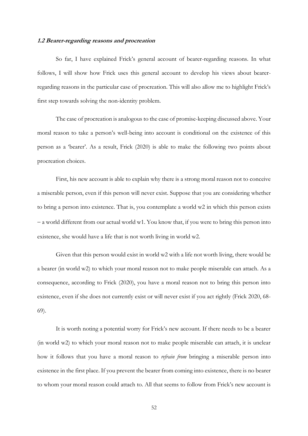#### **1.2 Bearer-regarding reasons and procreation**

So far, I have explained Frick's general account of bearer-regarding reasons. In what follows, I will show how Frick uses this general account to develop his views about bearerregarding reasons in the particular case of procreation. This will also allow me to highlight Frick's first step towards solving the non-identity problem.

The case of procreation is analogous to the case of promise-keeping discussed above. Your moral reason to take a person's well-being into account is conditional on the existence of this person as a 'bearer'. As a result, Frick (2020) is able to make the following two points about procreation choices.

First, his new account is able to explain why there is a strong moral reason not to conceive a miserable person, even if this person will never exist. Suppose that you are considering whether to bring a person into existence. That is, you contemplate a world w2 in which this person exists − a world different from our actual world w1. You know that, if you were to bring this person into existence, she would have a life that is not worth living in world w2.

Given that this person would exist in world w2 with a life not worth living, there would be a bearer (in world w2) to which your moral reason not to make people miserable can attach. As a consequence, according to Frick (2020), you have a moral reason not to bring this person into existence, even if she does not currently exist or will never exist if you act rightly (Frick 2020, 68- 69).

It is worth noting a potential worry for Frick's new account. If there needs to be a bearer (in world w2) to which your moral reason not to make people miserable can attach, it is unclear how it follows that you have a moral reason to *refrain from* bringing a miserable person into existence in the first place. If you prevent the bearer from coming into existence, there is no bearer to whom your moral reason could attach to. All that seems to follow from Frick's new account is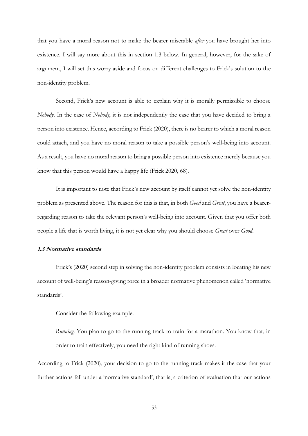that you have a moral reason not to make the bearer miserable *after* you have brought her into existence. I will say more about this in section 1.3 below. In general, however, for the sake of argument, I will set this worry aside and focus on different challenges to Frick's solution to the non-identity problem.

Second, Frick's new account is able to explain why it is morally permissible to choose *Nobody*. In the case of *Nobody*, it is not independently the case that you have decided to bring a person into existence. Hence, according to Frick (2020), there is no bearer to which a moral reason could attach, and you have no moral reason to take a possible person's well-being into account. As a result, you have no moral reason to bring a possible person into existence merely because you know that this person would have a happy life (Frick 2020, 68).

It is important to note that Frick's new account by itself cannot yet solve the non-identity problem as presented above. The reason for this is that, in both *Good* and *Great*, you have a bearerregarding reason to take the relevant person's well-being into account. Given that you offer both people a life that is worth living, it is not yet clear why you should choose *Great* over *Good*.

# **1.3 Normative standards**

Frick's (2020) second step in solving the non-identity problem consists in locating his new account of well-being's reason-giving force in a broader normative phenomenon called 'normative standards'.

Consider the following example.

*Running*: You plan to go to the running track to train for a marathon. You know that, in order to train effectively, you need the right kind of running shoes.

According to Frick (2020), your decision to go to the running track makes it the case that your further actions fall under a 'normative standard', that is, a criterion of evaluation that our actions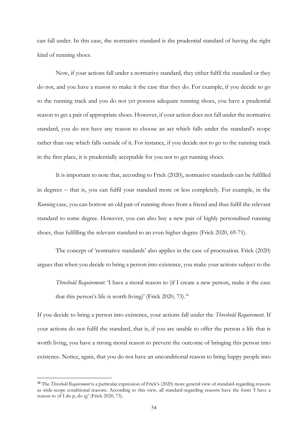can fall under. In this case, the normative standard is the prudential standard of having the right kind of running shoes.

Now, if your actions fall under a normative standard, they either fulfil the standard or they do not, and you have a reason to make it the case that they do. For example, if you decide to go to the running track and you do not yet possess adequate running shoes, you have a prudential reason to get a pair of appropriate shoes. However, if your action does not fall under the normative standard, you do not have any reason to choose an act which falls under the standard's scope rather than one which falls outside of it. For instance, if you decide not to go to the running track in the first place, it is prudentially acceptable for you not to get running shoes.

It is important to note that, according to Frick (2020), normative standards can be fulfilled in degrees − that is, you can fulfil your standard more or less completely. For example, in the *Running* case, you can borrow an old pair of running shoes from a friend and thus fulfil the relevant standard to some degree. However, you can also buy a new pair of highly personalised running shoes, thus fulfilling the relevant standard to an even higher degree (Frick 2020, 69-71).

The concept of 'normative standards' also applies in the case of procreation. Frick (2020) argues that when you decide to bring a person into existence, you make your actions subject to the

*Threshold Requirement*: 'I have a moral reason to (if I create a new person, make it the case that this person's life is worth living)' (Frick 2020, 73).<sup>36</sup>

If you decide to bring a person into existence, your actions fall under the *Threshold Requirement*. If your actions do not fulfil the standard, that is, if you are unable to offer the person a life that is worth living, you have a strong moral reason to prevent the outcome of bringing this person into existence. Notice, again, that you do not have an unconditional reason to bring happy people into

<sup>36</sup> The *Threshold Requirement* is a particular expression of Frick's (2020) more general view of standard-regarding reasons as wide-scope conditional reasons. According to this view, all standard-regarding reasons have the form 'I have a reason to (if I do p, do q)' (Frick 2020, 73).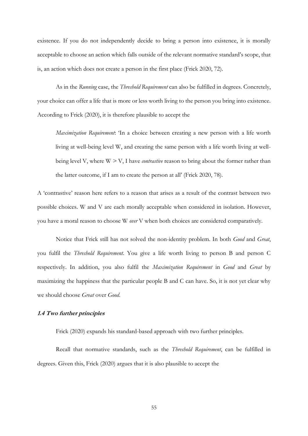existence. If you do not independently decide to bring a person into existence, it is morally acceptable to choose an action which falls outside of the relevant normative standard's scope, that is, an action which does not create a person in the first place (Frick 2020, 72).

As in the *Running* case, the *Threshold Requirement* can also be fulfilled in degrees. Concretely, your choice can offer a life that is more or less worth living to the person you bring into existence. According to Frick (2020), it is therefore plausible to accept the

*Maximization Requirement*: 'In a choice between creating a new person with a life worth living at well-being level W, and creating the same person with a life worth living at wellbeing level V, where W *>* V, I have *contrastive* reason to bring about the former rather than the latter outcome, if I am to create the person at all' (Frick 2020, 78).

A 'contrastive' reason here refers to a reason that arises as a result of the contrast between two possible choices. W and V are each morally acceptable when considered in isolation. However, you have a moral reason to choose W *over* V when both choices are considered comparatively.

Notice that Frick still has not solved the non-identity problem. In both *Good* and *Great*, you fulfil the *Threshold Requirement*. You give a life worth living to person B and person C respectively. In addition, you also fulfil the *Maximization Requirement* in *Good* and *Great* by maximizing the happiness that the particular people B and C can have. So, it is not yet clear why we should choose *Great* over *Good*.

### **1.4 Two further principles**

Frick (2020) expands his standard-based approach with two further principles.

Recall that normative standards, such as the *Threshold Requirement*, can be fulfilled in degrees. Given this, Frick (2020) argues that it is also plausible to accept the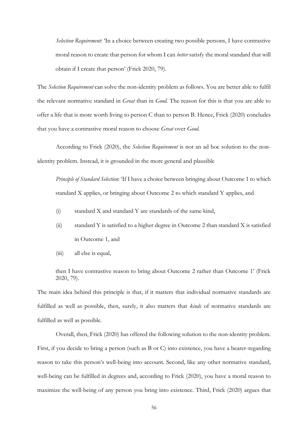*Selection Requirement*: 'In a choice between creating two possible persons, I have contrastive moral reason to create that person for whom I can *better* satisfy the moral standard that will obtain if I create that person' (Frick 2020, 79).

The *Selection Requirement* can solve the non-identity problem as follows. You are better able to fulfil the relevant normative standard in *Great* than in *Good*. The reason for this is that you are able to offer a life that is more worth living to person C than to person B. Hence, Frick (2020) concludes that you have a contrastive moral reason to choose *Great* over *Good*.

According to Frick (2020), the *Selection Requirement* is not an ad hoc solution to the nonidentity problem. Instead, it is grounded in the more general and plausible

*Principle of Standard Selection*: 'If I have a choice between bringing about Outcome 1 to which standard X applies, or bringing about Outcome 2 to which standard Y applies, and

- (i) standard X and standard Y are standards of the same kind,
- (ii) standard Y is satisfied to a higher degree in Outcome 2 than standard X is satisfied in Outcome 1, and
- (iii) all else is equal,

then I have contrastive reason to bring about Outcome 2 rather than Outcome 1' (Frick 2020, 79).

The main idea behind this principle is that, if it matters that individual normative standards are fulfilled as well as possible, then, surely, it also matters that *kinds* of normative standards are fulfilled as well as possible.

Overall, then, Frick (2020) has offered the following solution to the non-identity problem. First, if you decide to bring a person (such as B or C) into existence, you have a bearer-regarding reason to take this person's well-being into account. Second, like any other normative standard, well-being can be fulfilled in degrees and, according to Frick (2020), you have a moral reason to maximize the well-being of any person you bring into existence. Third, Frick (2020) argues that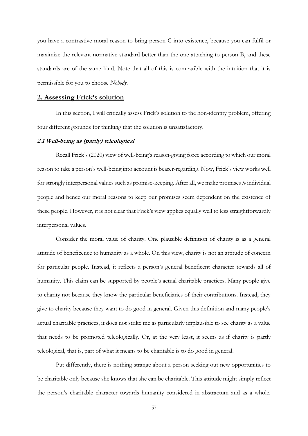you have a contrastive moral reason to bring person C into existence, because you can fulfil or maximize the relevant normative standard better than the one attaching to person B, and these standards are of the same kind. Note that all of this is compatible with the intuition that it is permissible for you to choose *Nobody*.

## **2. Assessing Frick's solution**

In this section, I will critically assess Frick's solution to the non-identity problem, offering four different grounds for thinking that the solution is unsatisfactory.

### **2.1 Well-being as (partly) teleological**

Recall Frick's (2020) view of well-being's reason-giving force according to which our moral reason to take a person's well-being into account is bearer-regarding. Now, Frick's view works well for strongly interpersonal values such as promise-keeping. After all, we make promises *to* individual people and hence our moral reasons to keep our promises seem dependent on the existence of these people. However, it is not clear that Frick's view applies equally well to less straightforwardly interpersonal values.

Consider the moral value of charity. One plausible definition of charity is as a general attitude of beneficence to humanity as a whole. On this view, charity is not an attitude of concern for particular people. Instead, it reflects a person's general beneficent character towards all of humanity. This claim can be supported by people's actual charitable practices. Many people give to charity not because they know the particular beneficiaries of their contributions. Instead, they give to charity because they want to do good in general. Given this definition and many people's actual charitable practices, it does not strike me as particularly implausible to see charity as a value that needs to be promoted teleologically. Or, at the very least, it seems as if charity is partly teleological, that is, part of what it means to be charitable is to do good in general.

Put differently, there is nothing strange about a person seeking out new opportunities to be charitable only because she knows that she can be charitable. This attitude might simply reflect the person's charitable character towards humanity considered in abstractum and as a whole.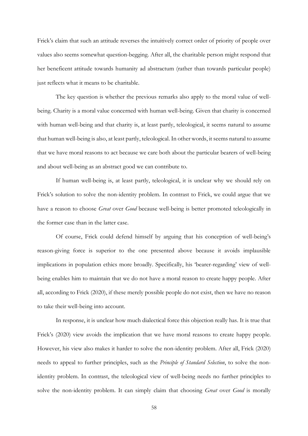Frick's claim that such an attitude reverses the intuitively correct order of priority of people over values also seems somewhat question-begging. After all, the charitable person might respond that her beneficent attitude towards humanity ad abstractum (rather than towards particular people) just reflects what it means to be charitable.

The key question is whether the previous remarks also apply to the moral value of wellbeing. Charity is a moral value concerned with human well-being. Given that charity is concerned with human well-being and that charity is, at least partly, teleological, it seems natural to assume that human well-being is also, at least partly, teleological. In other words, it seems natural to assume that we have moral reasons to act because we care both about the particular bearers of well-being and about well-being as an abstract good we can contribute to.

If human well-being is, at least partly, teleological, it is unclear why we should rely on Frick's solution to solve the non-identity problem. In contrast to Frick, we could argue that we have a reason to choose *Great* over *Good* because well-being is better promoted teleologically in the former case than in the latter case.

Of course, Frick could defend himself by arguing that his conception of well-being's reason-giving force is superior to the one presented above because it avoids implausible implications in population ethics more broadly. Specifically, his 'bearer-regarding' view of wellbeing enables him to maintain that we do not have a moral reason to create happy people. After all, according to Frick (2020), if these merely possible people do not exist, then we have no reason to take their well-being into account.

In response, it is unclear how much dialectical force this objection really has. It is true that Frick's (2020) view avoids the implication that we have moral reasons to create happy people. However, his view also makes it harder to solve the non-identity problem. After all, Frick (2020) needs to appeal to further principles, such as the *Principle of Standard Selection*, to solve the nonidentity problem. In contrast, the teleological view of well-being needs no further principles to solve the non-identity problem. It can simply claim that choosing *Great* over *Good* is morally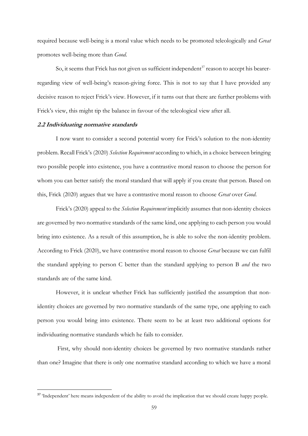required because well-being is a moral value which needs to be promoted teleologically and *Great* promotes well-being more than *Good*.

So, it seems that Frick has not given us sufficient independent<sup>37</sup> reason to accept his bearerregarding view of well-being's reason-giving force. This is not to say that I have provided any decisive reason to reject Frick's view. However, if it turns out that there are further problems with Frick's view, this might tip the balance in favour of the teleological view after all.

#### **2.2 Individuating normative standards**

I now want to consider a second potential worry for Frick's solution to the non-identity problem. Recall Frick's (2020) *Selection Requirement* according to which, in a choice between bringing two possible people into existence, you have a contrastive moral reason to choose the person for whom you can better satisfy the moral standard that will apply if you create that person. Based on this, Frick (2020) argues that we have a contrastive moral reason to choose *Great* over *Good*.

Frick's (2020) appeal to the *Selection Requirement* implicitly assumes that non-identity choices are governed by two normative standards of the same kind, one applying to each person you would bring into existence. As a result of this assumption, he is able to solve the non-identity problem. According to Frick (2020), we have contrastive moral reason to choose *Great* because we can fulfil the standard applying to person C better than the standard applying to person B *and* the two standards are of the same kind.

However, it is unclear whether Frick has sufficiently justified the assumption that nonidentity choices are governed by two normative standards of the same type, one applying to each person you would bring into existence. There seem to be at least two additional options for individuating normative standards which he fails to consider.

First, why should non-identity choices be governed by two normative standards rather than one? Imagine that there is only one normative standard according to which we have a moral

<sup>&</sup>lt;sup>37</sup> 'Independent' here means independent of the ability to avoid the implication that we should create happy people.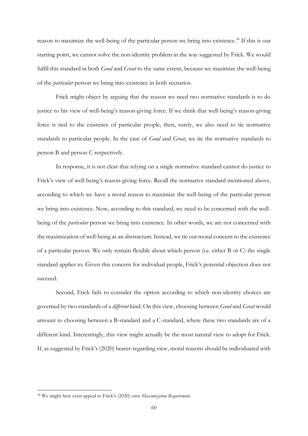reason to maximize the well-being of the particular person we bring into existence.<sup>38</sup> If this is our starting point, we cannot solve the non-identity problem in the way suggested by Frick. We would fulfil this standard in both *Good* and *Great* to the same extent, because we maximize the well-being of the *particular* person we bring into existence in both scenarios.

Frick might object by arguing that the reason we need two normative standards is to do justice to his view of well-being's reason-giving force. If we think that well-being's reason-giving force is tied to the existence of particular people, then, surely, we also need to tie normative standards to particular people. In the case of *Good* and *Great*, we tie the normative standards to person B and person C respectively.

In response, it is not clear that relying on a single normative standard cannot do justice to Frick's view of well-being's reason-giving force. Recall the normative standard mentioned above, according to which we have a moral reason to maximize the well-being of the particular person we bring into existence. Now, according to this standard, we need to be concerned with the wellbeing of the *particular* person we bring into existence. In other words, we are not concerned with the maximization of well-being as an abstractum. Instead, we tie our moral concern to the existence of a particular person. We only remain flexible about which person (i.e. either B or C) the single standard applies to. Given this concern for individual people, Frick's potential objection does not succeed.

Second, Frick fails to consider the option according to which non-identity choices are governed by two standards of a *different* kind. On this view, choosing between *Good* and *Great* would amount to choosing between a B-standard and a C-standard, where these two standards are of a different kind. Interestingly, this view might actually be the most natural view to adopt for Frick. If, as suggested by Frick's (2020) bearer-regarding view, moral reasons should be individuated with

<sup>38</sup> We might here even appeal to Frick's (2020) own *Maximization Requirement*.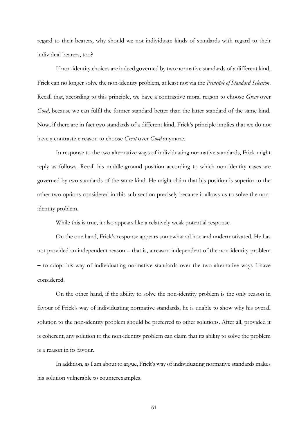regard to their bearers, why should we not individuate kinds of standards with regard to their individual bearers, too?

If non-identity choices are indeed governed by two normative standards of a different kind, Frick can no longer solve the non-identity problem, at least not via the *Principle of Standard Selection*. Recall that, according to this principle, we have a contrastive moral reason to choose *Great* over *Good*, because we can fulfil the former standard better than the latter standard of the same kind. Now, if there are in fact two standards of a different kind, Frick's principle implies that we do not have a contrastive reason to choose *Great* over *Good* anymore.

In response to the two alternative ways of individuating normative standards, Frick might reply as follows. Recall his middle-ground position according to which non-identity cases are governed by two standards of the same kind. He might claim that his position is superior to the other two options considered in this sub-section precisely because it allows us to solve the nonidentity problem.

While this is true, it also appears like a relatively weak potential response.

On the one hand, Frick's response appears somewhat ad hoc and undermotivated. He has not provided an independent reason – that is, a reason independent of the non-identity problem − to adopt his way of individuating normative standards over the two alternative ways I have considered.

On the other hand, if the ability to solve the non-identity problem is the only reason in favour of Frick's way of individuating normative standards, he is unable to show why his overall solution to the non-identity problem should be preferred to other solutions. After all, provided it is coherent, any solution to the non-identity problem can claim that its ability to solve the problem is a reason in its favour.

In addition, as I am about to argue, Frick's way of individuating normative standards makes his solution vulnerable to counterexamples.

61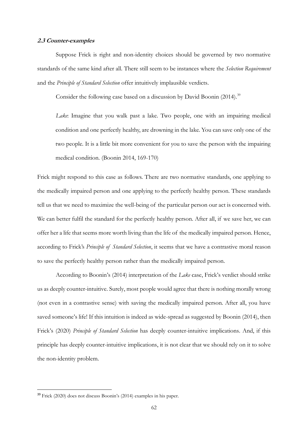#### **2.3 Counter-examples**

Suppose Frick is right and non-identity choices should be governed by two normative standards of the same kind after all. There still seem to be instances where the *Selection Requirement*  and the *Principle of Standard Selection* offer intuitively implausible verdicts.

Consider the following case based on a discussion by David Boonin (2014).<sup>39</sup>

*Lake*: Imagine that you walk past a lake. Two people, one with an impairing medical condition and one perfectly healthy, are drowning in the lake. You can save only one of the two people. It is a little bit more convenient for you to save the person with the impairing medical condition. (Boonin 2014, 169-170)

Frick might respond to this case as follows. There are two normative standards, one applying to the medically impaired person and one applying to the perfectly healthy person. These standards tell us that we need to maximize the well-being of the particular person our act is concerned with. We can better fulfil the standard for the perfectly healthy person. After all, if we save her, we can offer her a life that seems more worth living than the life of the medically impaired person. Hence, according to Frick's *Principle of Standard Selection*, it seems that we have a contrastive moral reason to save the perfectly healthy person rather than the medically impaired person.

According to Boonin's (2014) interpretation of the *Lake* case, Frick's verdict should strike us as deeply counter-intuitive. Surely, most people would agree that there is nothing morally wrong (not even in a contrastive sense) with saving the medically impaired person. After all, you have saved someone's life! If this intuition is indeed as wide-spread as suggested by Boonin (2014), then Frick's (2020) *Principle of Standard Selection* has deeply counter-intuitive implications. And, if this principle has deeply counter-intuitive implications, it is not clear that we should rely on it to solve the non-identity problem.

<sup>39</sup> Frick (2020) does not discuss Boonin's (2014) examples in his paper.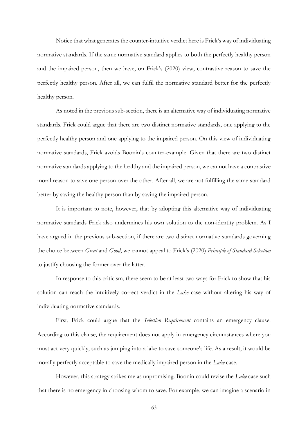Notice that what generates the counter-intuitive verdict here is Frick's way of individuating normative standards. If the same normative standard applies to both the perfectly healthy person and the impaired person, then we have, on Frick's (2020) view, contrastive reason to save the perfectly healthy person. After all, we can fulfil the normative standard better for the perfectly healthy person.

As noted in the previous sub-section, there is an alternative way of individuating normative standards. Frick could argue that there are two distinct normative standards, one applying to the perfectly healthy person and one applying to the impaired person. On this view of individuating normative standards, Frick avoids Boonin's counter-example. Given that there are two distinct normative standards applying to the healthy and the impaired person, we cannot have a contrastive moral reason to save one person over the other. After all, we are not fulfilling the same standard better by saving the healthy person than by saving the impaired person.

It is important to note, however, that by adopting this alternative way of individuating normative standards Frick also undermines his own solution to the non-identity problem. As I have argued in the previous sub-section, if there are two distinct normative standards governing the choice between *Great* and *Good*, we cannot appeal to Frick's (2020) *Principle of Standard Selection* to justify choosing the former over the latter.

In response to this criticism, there seem to be at least two ways for Frick to show that his solution can reach the intuitively correct verdict in the *Lake* case without altering his way of individuating normative standards.

First, Frick could argue that the *Selection Requirement* contains an emergency clause. According to this clause, the requirement does not apply in emergency circumstances where you must act very quickly, such as jumping into a lake to save someone's life. As a result, it would be morally perfectly acceptable to save the medically impaired person in the *Lake* case.

However, this strategy strikes me as unpromising. Boonin could revise the *Lake* case such that there is no emergency in choosing whom to save. For example, we can imagine a scenario in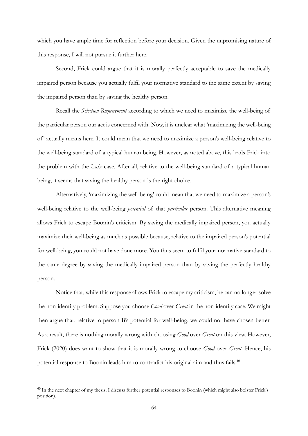which you have ample time for reflection before your decision. Given the unpromising nature of this response, I will not pursue it further here.

Second, Frick could argue that it is morally perfectly acceptable to save the medically impaired person because you actually fulfil your normative standard to the same extent by saving the impaired person than by saving the healthy person.

Recall the *Selection Requirement* according to which we need to maximize the well-being of the particular person our act is concerned with. Now, it is unclear what 'maximizing the well-being of ' actually means here. It could mean that we need to maximize a person's well-being relative to the well-being standard of a typical human being. However, as noted above, this leads Frick into the problem with the *Lake* case. After all, relative to the well-being standard of a typical human being, it seems that saving the healthy person is the right choice.

Alternatively, 'maximizing the well-being' could mean that we need to maximize a person's well-being relative to the well-being *potential* of that *particular* person. This alternative meaning allows Frick to escape Boonin's criticism. By saving the medically impaired person, you actually maximize their well-being as much as possible because, relative to the impaired person's potential for well-being, you could not have done more. You thus seem to fulfil your normative standard to the same degree by saving the medically impaired person than by saving the perfectly healthy person.

Notice that, while this response allows Frick to escape my criticism, he can no longer solve the non-identity problem. Suppose you choose *Good* over *Great* in the non-identity case. We might then argue that, relative to person B's potential for well-being, we could not have chosen better. As a result, there is nothing morally wrong with choosing *Good* over *Great* on this view. However, Frick (2020) does want to show that it is morally wrong to choose *Good* over *Great*. Hence, his potential response to Boonin leads him to contradict his original aim and thus fails.<sup>40</sup>

<sup>&</sup>lt;sup>40</sup> In the next chapter of my thesis, I discuss further potential responses to Boonin (which might also bolster Frick's position).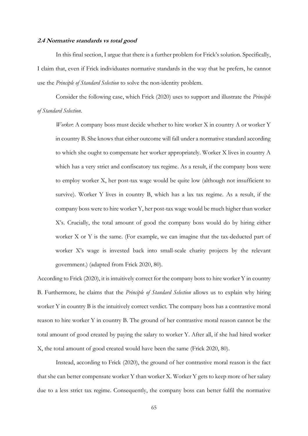#### **2.4 Normative standards vs total good**

In this final section, I argue that there is a further problem for Frick's solution. Specifically, I claim that, even if Frick individuates normative standards in the way that he prefers, he cannot use the *Principle of Standard Selection* to solve the non-identity problem.

Consider the following case, which Frick (2020) uses to support and illustrate the *Principle of Standard Selection*.

*Worker*: A company boss must decide whether to hire worker X in country A or worker Y in country B. She knows that either outcome will fall under a normative standard according to which she ought to compensate her worker appropriately. Worker X lives in country A which has a very strict and confiscatory tax regime. As a result, if the company boss were to employ worker X, her post-tax wage would be quite low (although not insufficient to survive). Worker Y lives in country B, which has a lax tax regime. As a result, if the company boss were to hire worker Y, her post-tax wage would be much higher than worker X's. Crucially, the total amount of good the company boss would do by hiring either worker X or Y is the same. (For example, we can imagine that the tax-deducted part of worker X's wage is invested back into small-scale charity projects by the relevant government.) (adapted from Frick 2020, 80).

According to Frick (2020), it is intuitively correct for the company boss to hire worker Y in country B. Furthermore, he claims that the *Principle of Standard Selection* allows us to explain why hiring worker Y in country B is the intuitively correct verdict. The company boss has a contrastive moral reason to hire worker Y in country B. The ground of her contrastive moral reason cannot be the total amount of good created by paying the salary to worker Y. After all, if she had hired worker X, the total amount of good created would have been the same (Frick 2020, 80).

Instead, according to Frick (2020), the ground of her contrastive moral reason is the fact that she can better compensate worker Y than worker X. Worker Y gets to keep more of her salary due to a less strict tax regime. Consequently, the company boss can better fulfil the normative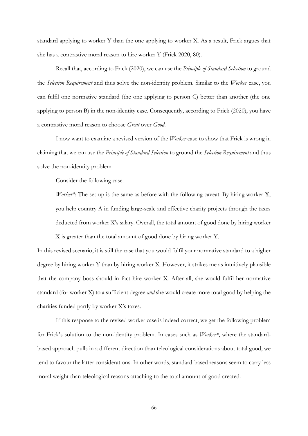standard applying to worker Y than the one applying to worker X. As a result, Frick argues that she has a contrastive moral reason to hire worker Y (Frick 2020, 80).

Recall that, according to Frick (2020), we can use the *Principle of Standard Selection* to ground the *Selection Requirement* and thus solve the non-identity problem. Similar to the *Worker* case, you can fulfil one normative standard (the one applying to person C) better than another (the one applying to person B) in the non-identity case. Consequently, according to Frick (2020), you have a contrastive moral reason to choose *Great* over *Good*.

I now want to examine a revised version of the *Worker* case to show that Frick is wrong in claiming that we can use the *Principle of Standard Selection* to ground the *Selection Requirement* and thus solve the non-identity problem.

Consider the following case.

*Worker\**: The set-up is the same as before with the following caveat. By hiring worker X, you help country A in funding large-scale and effective charity projects through the taxes deducted from worker X's salary. Overall, the total amount of good done by hiring worker X is greater than the total amount of good done by hiring worker Y.

In this revised scenario, it is still the case that you would fulfil your normative standard to a higher degree by hiring worker Y than by hiring worker X. However, it strikes me as intuitively plausible that the company boss should in fact hire worker X. After all, she would fulfil her normative standard (for worker X) to a sufficient degree *and* she would create more total good by helping the charities funded partly by worker X's taxes.

If this response to the revised worker case is indeed correct, we get the following problem for Frick's solution to the non-identity problem. In cases such as *Worker\**, where the standardbased approach pulls in a different direction than teleological considerations about total good, we tend to favour the latter considerations. In other words, standard-based reasons seem to carry less moral weight than teleological reasons attaching to the total amount of good created.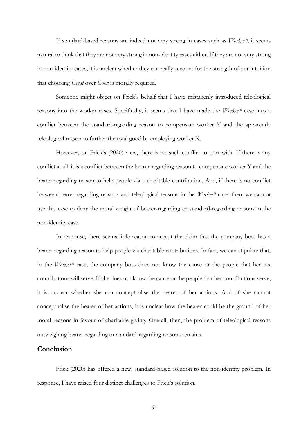If standard-based reasons are indeed not very strong in cases such as *Worker\**, it seems natural to think that they are not very strong in non-identity cases either. If they are not very strong in non-identity cases, it is unclear whether they can really account for the strength of our intuition that choosing *Great* over *Good* is morally required.

Someone might object on Frick's behalf that I have mistakenly introduced teleological reasons into the worker cases. Specifically, it seems that I have made the *Worker\** case into a conflict between the standard-regarding reason to compensate worker Y and the apparently teleological reason to further the total good by employing worker X.

However, on Frick's (2020) view, there is no such conflict to start with. If there is any conflict at all, it is a conflict between the bearer-regarding reason to compensate worker Y and the bearer-regarding reason to help people via a charitable contribution. And, if there is no conflict between bearer-regarding reasons and teleological reasons in the *Worker\** case, then, we cannot use this case to deny the moral weight of bearer-regarding or standard-regarding reasons in the non-identity case.

In response, there seems little reason to accept the claim that the company boss has a bearer-regarding reason to help people via charitable contributions. In fact, we can stipulate that, in the *Worker\** case, the company boss does not know the cause or the people that her tax contributions will serve. If she does not know the cause or the people that her contributions serve, it is unclear whether she can conceptualise the bearer of her actions. And, if she cannot conceptualise the bearer of her actions, it is unclear how the bearer could be the ground of her moral reasons in favour of charitable giving. Overall, then, the problem of teleological reasons outweighing bearer-regarding or standard-regarding reasons remains.

# **Conclusion**

Frick (2020) has offered a new, standard-based solution to the non-identity problem. In response, I have raised four distinct challenges to Frick's solution.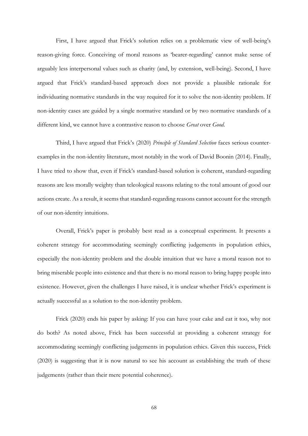First, I have argued that Frick's solution relies on a problematic view of well-being's reason-giving force. Conceiving of moral reasons as 'bearer-regarding' cannot make sense of arguably less interpersonal values such as charity (and, by extension, well-being). Second, I have argued that Frick's standard-based approach does not provide a plausible rationale for individuating normative standards in the way required for it to solve the non-identity problem. If non-identity cases are guided by a single normative standard or by two normative standards of a different kind, we cannot have a contrastive reason to choose *Great* over *Good*.

Third, I have argued that Frick's (2020) *Principle of Standard Selection* faces serious counterexamples in the non-identity literature, most notably in the work of David Boonin (2014). Finally, I have tried to show that, even if Frick's standard-based solution is coherent, standard-regarding reasons are less morally weighty than teleological reasons relating to the total amount of good our actions create. As a result, it seems that standard-regarding reasons cannot account for the strength of our non-identity intuitions.

Overall, Frick's paper is probably best read as a conceptual experiment. It presents a coherent strategy for accommodating seemingly conflicting judgements in population ethics, especially the non-identity problem and the double intuition that we have a moral reason not to bring miserable people into existence and that there is no moral reason to bring happy people into existence. However, given the challenges I have raised, it is unclear whether Frick's experiment is actually successful as a solution to the non-identity problem.

Frick (2020) ends his paper by asking: If you can have your cake and eat it too, why not do both? As noted above, Frick has been successful at providing a coherent strategy for accommodating seemingly conflicting judgements in population ethics. Given this success, Frick (2020) is suggesting that it is now natural to see his account as establishing the truth of these judgements (rather than their mere potential coherence).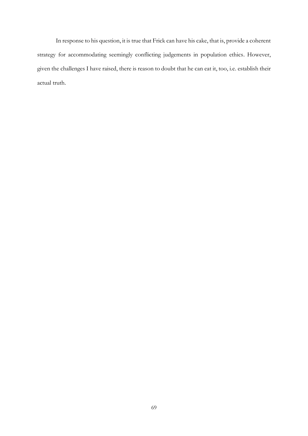In response to his question, it is true that Frick can have his cake, that is, provide a coherent strategy for accommodating seemingly conflicting judgements in population ethics. However, given the challenges I have raised, there is reason to doubt that he can eat it, too, i.e. establish their actual truth.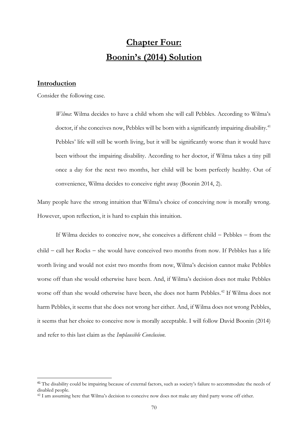# **Chapter Four: Boonin's (2014) Solution**

# **Introduction**

Consider the following case.

*Wilma*: Wilma decides to have a child whom she will call Pebbles. According to Wilma's doctor, if she conceives now, Pebbles will be born with a significantly impairing disability.<sup>41</sup> Pebbles' life will still be worth living, but it will be significantly worse than it would have been without the impairing disability. According to her doctor, if Wilma takes a tiny pill once a day for the next two months, her child will be born perfectly healthy. Out of convenience, Wilma decides to conceive right away (Boonin 2014, 2).

Many people have the strong intuition that Wilma's choice of conceiving now is morally wrong. However, upon reflection, it is hard to explain this intuition.

If Wilma decides to conceive now, she conceives a different child − Pebbles − from the child − call her Rocks − she would have conceived two months from now. If Pebbles has a life worth living and would not exist two months from now, Wilma's decision cannot make Pebbles worse off than she would otherwise have been. And, if Wilma's decision does not make Pebbles worse off than she would otherwise have been, she does not harm Pebbles.<sup>42</sup> If Wilma does not harm Pebbles, it seems that she does not wrong her either. And, if Wilma does not wrong Pebbles, it seems that her choice to conceive now is morally acceptable. I will follow David Boonin (2014) and refer to this last claim as the *Implausible Conclusion*.

<sup>&</sup>lt;sup>41</sup> The disability could be impairing because of external factors, such as society's failure to accommodate the needs of disabled people.

<sup>&</sup>lt;sup>42</sup> I am assuming here that Wilma's decision to conceive now does not make any third party worse off either.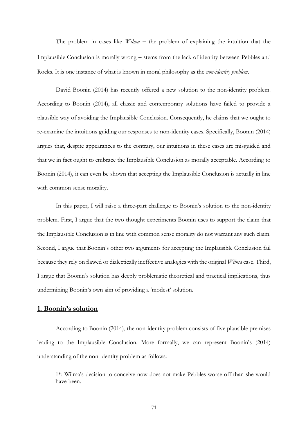The problem in cases like *Wilma* − the problem of explaining the intuition that the Implausible Conclusion is morally wrong − stems from the lack of identity between Pebbles and Rocks. It is one instance of what is known in moral philosophy as the *non-identity problem*.

David Boonin (2014) has recently offered a new solution to the non-identity problem. According to Boonin (2014), all classic and contemporary solutions have failed to provide a plausible way of avoiding the Implausible Conclusion. Consequently, he claims that we ought to re-examine the intuitions guiding our responses to non-identity cases. Specifically, Boonin (2014) argues that, despite appearances to the contrary, our intuitions in these cases are misguided and that we in fact ought to embrace the Implausible Conclusion as morally acceptable. According to Boonin (2014), it can even be shown that accepting the Implausible Conclusion is actually in line with common sense morality.

In this paper, I will raise a three-part challenge to Boonin's solution to the non-identity problem. First, I argue that the two thought experiments Boonin uses to support the claim that the Implausible Conclusion is in line with common sense morality do not warrant any such claim. Second, I argue that Boonin's other two arguments for accepting the Implausible Conclusion fail because they rely on flawed or dialectically ineffective analogies with the original *Wilma* case. Third, I argue that Boonin's solution has deeply problematic theoretical and practical implications, thus undermining Boonin's own aim of providing a 'modest' solution.

# **1. Boonin's solution**

According to Boonin (2014), the non-identity problem consists of five plausible premises leading to the Implausible Conclusion. More formally, we can represent Boonin's (2014) understanding of the non-identity problem as follows:

1\*: Wilma's decision to conceive now does not make Pebbles worse off than she would have been.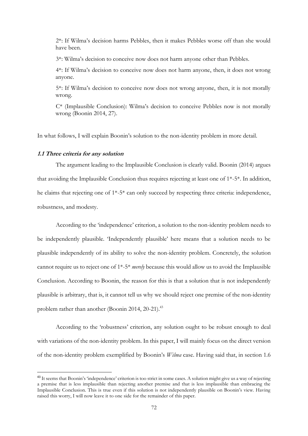2\*: If Wilma's decision harms Pebbles, then it makes Pebbles worse off than she would have been.

3\*: Wilma's decision to conceive now does not harm anyone other than Pebbles.

4\*: If Wilma's decision to conceive now does not harm anyone, then, it does not wrong anyone.

5\*: If Wilma's decision to conceive now does not wrong anyone, then, it is not morally wrong.

C\* (Implausible Conclusion): Wilma's decision to conceive Pebbles now is not morally wrong (Boonin 2014, 27).

In what follows, I will explain Boonin's solution to the non-identity problem in more detail.

#### **1.1 Three criteria for any solution**

The argument leading to the Implausible Conclusion is clearly valid. Boonin (2014) argues that avoiding the Implausible Conclusion thus requires rejecting at least one of 1\*-5\*. In addition, he claims that rejecting one of 1\*-5\* can only succeed by respecting three criteria: independence, robustness, and modesty.

According to the 'independence' criterion, a solution to the non-identity problem needs to be independently plausible. 'Independently plausible' here means that a solution needs to be plausible independently of its ability to solve the non-identity problem. Concretely, the solution cannot require us to reject one of 1\*-5\* *merely* because this would allow us to avoid the Implausible Conclusion. According to Boonin, the reason for this is that a solution that is not independently plausible is arbitrary, that is, it cannot tell us why we should reject one premise of the non-identity problem rather than another (Boonin 2014, 20-21).<sup>43</sup>

According to the 'robustness' criterion, any solution ought to be robust enough to deal with variations of the non-identity problem. In this paper, I will mainly focus on the direct version of the non-identity problem exemplified by Boonin's *Wilma* case. Having said that, in section 1.6

<sup>&</sup>lt;sup>43</sup> It seems that Boonin's 'independence' criterion is too strict in some cases. A solution might give us a way of rejecting a premise that is less implausible than rejecting another premise and that is less implausible than embracing the Implausible Conclusion. This is true even if this solution is not independently plausible on Boonin's view. Having raised this worry, I will now leave it to one side for the remainder of this paper.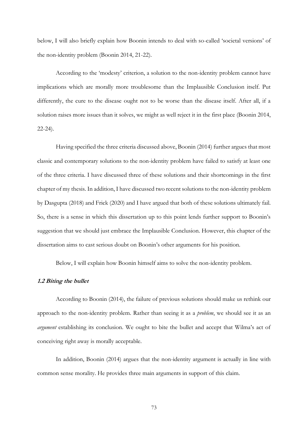below, I will also briefly explain how Boonin intends to deal with so-called 'societal versions' of the non-identity problem (Boonin 2014, 21-22).

According to the 'modesty' criterion, a solution to the non-identity problem cannot have implications which are morally more troublesome than the Implausible Conclusion itself. Put differently, the cure to the disease ought not to be worse than the disease itself. After all, if a solution raises more issues than it solves, we might as well reject it in the first place (Boonin 2014, 22-24).

Having specified the three criteria discussed above, Boonin (2014) further argues that most classic and contemporary solutions to the non-identity problem have failed to satisfy at least one of the three criteria. I have discussed three of these solutions and their shortcomings in the first chapter of my thesis. In addition, I have discussed two recent solutions to the non-identity problem by Dasgupta (2018) and Frick (2020) and I have argued that both of these solutions ultimately fail. So, there is a sense in which this dissertation up to this point lends further support to Boonin's suggestion that we should just embrace the Implausible Conclusion. However, this chapter of the dissertation aims to cast serious doubt on Boonin's other arguments for his position.

Below, I will explain how Boonin himself aims to solve the non-identity problem.

## **1.2 Biting the bullet**

According to Boonin (2014), the failure of previous solutions should make us rethink our approach to the non-identity problem. Rather than seeing it as a *problem*, we should see it as an *argument* establishing its conclusion. We ought to bite the bullet and accept that Wilma's act of conceiving right away is morally acceptable.

In addition, Boonin (2014) argues that the non-identity argument is actually in line with common sense morality. He provides three main arguments in support of this claim.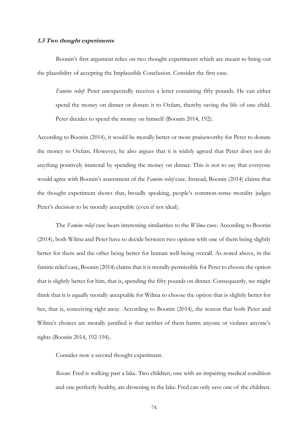## **1.3 Two thought experiments**

Boonin's first argument relies on two thought experiments which are meant to bring out the plausibility of accepting the Implausible Conclusion. Consider the first case.

*Famine relief*: Peter unexpectedly receives a letter containing fifty pounds. He can either spend the money on dinner or donate it to Oxfam, thereby saving the life of one child. Peter decides to spend the money on himself (Boonin 2014, 192).

According to Boonin (2014), it would be morally better or more praiseworthy for Peter to donate the money to Oxfam. However, he also argues that it is widely agreed that Peter does not do anything positively immoral by spending the money on dinner. This is not to say that everyone would agree with Boonin's assessment of the *Famine relief* case. Instead, Boonin (2014) claims that the thought experiment shows that, broadly speaking, people's common-sense morality judges Peter's decision to be morally acceptable (even if not ideal).

The *Famine relief* case bears interesting similarities to the *Wilma* case. According to Boonin (2014), both Wilma and Peter have to decide between two options with one of them being slightly better for them and the other being better for human well-being overall. As noted above, in the famine relief case, Boonin (2014) claims that it is morally permissible for Peter to choose the option that is slightly better for him, that is, spending the fifty pounds on dinner. Consequently, we might think that it is equally morally acceptable for Wilma to choose the option that is slightly better for her, that is, conceiving right away. According to Boonin (2014), the reason that both Peter and Wilma's choices are morally justified is that neither of them harms anyone or violates anyone's rights (Boonin 2014, 192-194).

Consider now a second thought experiment.

*Rescue*: Fred is walking past a lake. Two children, one with an impairing medical condition and one perfectly healthy, are drowning in the lake. Fred can only save one of the children.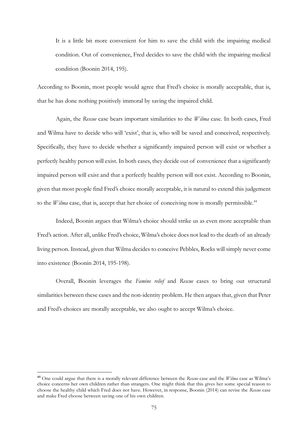It is a little bit more convenient for him to save the child with the impairing medical condition. Out of convenience, Fred decides to save the child with the impairing medical condition (Boonin 2014, 195).

According to Boonin, most people would agree that Fred's choice is morally acceptable, that is, that he has done nothing positively immoral by saving the impaired child.

Again, the *Rescue* case bears important similarities to the *Wilma* case. In both cases, Fred and Wilma have to decide who will 'exist', that is, who will be saved and conceived, respectively. Specifically, they have to decide whether a significantly impaired person will exist or whether a perfectly healthy person will exist. In both cases, they decide out of convenience that a significantly impaired person will exist and that a perfectly healthy person will not exist. According to Boonin, given that most people find Fred's choice morally acceptable, it is natural to extend this judgement to the *Wilma* case, that is, accept that her choice of conceiving now is morally permissible.<sup>44</sup>

Indeed, Boonin argues that Wilma's choice should strike us as even more acceptable than Fred's action. After all, unlike Fred's choice, Wilma's choice does not lead to the death of an already living person. Instead, given that Wilma decides to conceive Pebbles, Rocks will simply never come into existence (Boonin 2014, 195-198).

Overall, Boonin leverages the *Famine relief* and *Rescue* cases to bring out structural similarities between these cases and the non-identity problem. He then argues that, given that Peter and Fred's choices are morally acceptable, we also ought to accept Wilma's choice.

<sup>44</sup> One could argue that there is a morally relevant difference between the *Rescue* case and the *Wilma* case as Wilma's choice concerns her own children rather than strangers. One might think that this gives her some special reason to choose the healthy child which Fred does not have. However, in response, Boonin (2014) can revise the *Rescue* case and make Fred choose between saving one of his own children.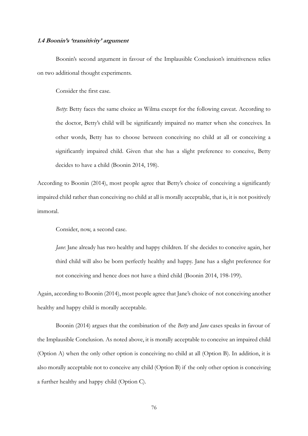## **1.4 Boonin's 'transitivity' argument**

Boonin's second argument in favour of the Implausible Conclusion's intuitiveness relies on two additional thought experiments.

Consider the first case.

*Betty*: Betty faces the same choice as Wilma except for the following caveat. According to the doctor, Betty's child will be significantly impaired no matter when she conceives. In other words, Betty has to choose between conceiving no child at all or conceiving a significantly impaired child. Given that she has a slight preference to conceive, Betty decides to have a child (Boonin 2014, 198).

According to Boonin (2014), most people agree that Betty's choice of conceiving a significantly impaired child rather than conceiving no child at all is morally acceptable, that is, it is not positively immoral.

Consider, now, a second case.

*Jane*: Jane already has two healthy and happy children. If she decides to conceive again, her third child will also be born perfectly healthy and happy. Jane has a slight preference for not conceiving and hence does not have a third child (Boonin 2014, 198-199).

Again, according to Boonin (2014), most people agree that Jane's choice of not conceiving another healthy and happy child is morally acceptable.

Boonin (2014) argues that the combination of the *Betty* and *Jane* cases speaks in favour of the Implausible Conclusion. As noted above, it is morally acceptable to conceive an impaired child (Option A) when the only other option is conceiving no child at all (Option B). In addition, it is also morally acceptable not to conceive any child (Option B) if the only other option is conceiving a further healthy and happy child (Option C).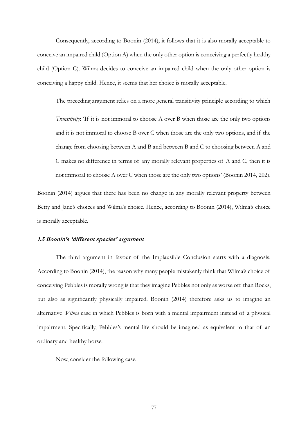Consequently, according to Boonin (2014), it follows that it is also morally acceptable to conceive an impaired child (Option A) when the only other option is conceiving a perfectly healthy child (Option C). Wilma decides to conceive an impaired child when the only other option is conceiving a happy child. Hence, it seems that her choice is morally acceptable.

The preceding argument relies on a more general transitivity principle according to which

*Transitivity*: 'If it is not immoral to choose A over B when those are the only two options and it is not immoral to choose B over C when those are the only two options, and if the change from choosing between A and B and between B and C to choosing between A and C makes no difference in terms of any morally relevant properties of A and C, then it is not immoral to choose A over C when those are the only two options' (Boonin 2014, 202).

Boonin (2014) argues that there has been no change in any morally relevant property between Betty and Jane's choices and Wilma's choice. Hence, according to Boonin (2014), Wilma's choice is morally acceptable.

## **1.5 Boonin's 'different species' argument**

The third argument in favour of the Implausible Conclusion starts with a diagnosis: According to Boonin (2014), the reason why many people mistakenly think that Wilma's choice of conceiving Pebbles is morally wrong is that they imagine Pebbles not only as worse off than Rocks, but also as significantly physically impaired. Boonin (2014) therefore asks us to imagine an alternative *Wilma* case in which Pebbles is born with a mental impairment instead of a physical impairment. Specifically, Pebbles's mental life should be imagined as equivalent to that of an ordinary and healthy horse.

Now, consider the following case.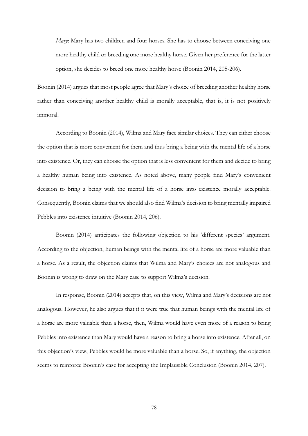*Mary*: Mary has two children and four horses. She has to choose between conceiving one more healthy child or breeding one more healthy horse. Given her preference for the latter option, she decides to breed one more healthy horse (Boonin 2014, 205-206).

Boonin (2014) argues that most people agree that Mary's choice of breeding another healthy horse rather than conceiving another healthy child is morally acceptable, that is, it is not positively immoral.

According to Boonin (2014), Wilma and Mary face similar choices. They can either choose the option that is more convenient for them and thus bring a being with the mental life of a horse into existence. Or, they can choose the option that is less convenient for them and decide to bring a healthy human being into existence. As noted above, many people find Mary's convenient decision to bring a being with the mental life of a horse into existence morally acceptable. Consequently, Boonin claims that we should also find Wilma's decision to bring mentally impaired Pebbles into existence intuitive (Boonin 2014, 206).

Boonin (2014) anticipates the following objection to his 'different species' argument. According to the objection, human beings with the mental life of a horse are more valuable than a horse. As a result, the objection claims that Wilma and Mary's choices are not analogous and Boonin is wrong to draw on the Mary case to support Wilma's decision.

In response, Boonin (2014) accepts that, on this view, Wilma and Mary's decisions are not analogous. However, he also argues that if it were true that human beings with the mental life of a horse are more valuable than a horse, then, Wilma would have even more of a reason to bring Pebbles into existence than Mary would have a reason to bring a horse into existence. After all, on this objection's view, Pebbles would be more valuable than a horse. So, if anything, the objection seems to reinforce Boonin's case for accepting the Implausible Conclusion (Boonin 2014, 207).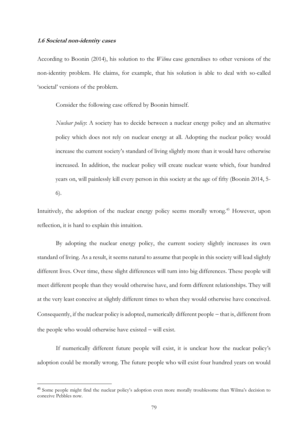## **1.6 Societal non-identity cases**

According to Boonin (2014), his solution to the *Wilma* case generalises to other versions of the non-identity problem. He claims, for example, that his solution is able to deal with so-called 'societal' versions of the problem.

Consider the following case offered by Boonin himself.

*Nuclear policy*: A society has to decide between a nuclear energy policy and an alternative policy which does not rely on nuclear energy at all. Adopting the nuclear policy would increase the current society's standard of living slightly more than it would have otherwise increased. In addition, the nuclear policy will create nuclear waste which, four hundred years on, will painlessly kill every person in this society at the age of fifty (Boonin 2014, 5- 6).

Intuitively, the adoption of the nuclear energy policy seems morally wrong.<sup>45</sup> However, upon reflection, it is hard to explain this intuition.

By adopting the nuclear energy policy, the current society slightly increases its own standard of living. As a result, it seems natural to assume that people in this society will lead slightly different lives. Over time, these slight differences will turn into big differences. These people will meet different people than they would otherwise have, and form different relationships. They will at the very least conceive at slightly different times to when they would otherwise have conceived. Consequently, if the nuclear policy is adopted, numerically different people − that is, different from the people who would otherwise have existed − will exist.

If numerically different future people will exist, it is unclear how the nuclear policy's adoption could be morally wrong. The future people who will exist four hundred years on would

<sup>45</sup> Some people might find the nuclear policy's adoption even more morally troublesome than Wilma's decision to conceive Pebbles now.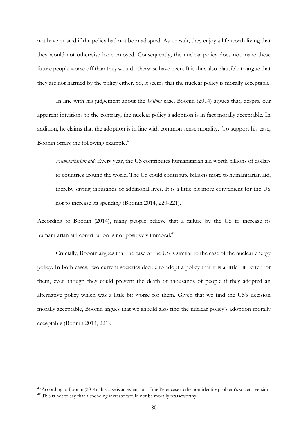not have existed if the policy had not been adopted. As a result, they enjoy a life worth living that they would not otherwise have enjoyed. Consequently, the nuclear policy does not make these future people worse off than they would otherwise have been. It is thus also plausible to argue that they are not harmed by the policy either. So, it seems that the nuclear policy is morally acceptable.

In line with his judgement about the *Wilma* case, Boonin (2014) argues that, despite our apparent intuitions to the contrary, the nuclear policy's adoption is in fact morally acceptable. In addition, he claims that the adoption is in line with common sense morality. To support his case, Boonin offers the following example.<sup>46</sup>

*Humanitarian aid*: Every year, the US contributes humanitarian aid worth billions of dollars to countries around the world. The US could contribute billions more to humanitarian aid, thereby saving thousands of additional lives. It is a little bit more convenient for the US not to increase its spending (Boonin 2014, 220-221).

According to Boonin (2014), many people believe that a failure by the US to increase its humanitarian aid contribution is not positively immoral.<sup>47</sup>

Crucially, Boonin argues that the case of the US is similar to the case of the nuclear energy policy. In both cases, two current societies decide to adopt a policy that it is a little bit better for them, even though they could prevent the death of thousands of people if they adopted an alternative policy which was a little bit worse for them. Given that we find the US's decision morally acceptable, Boonin argues that we should also find the nuclear policy's adoption morally acceptable (Boonin 2014, 221).

<sup>46</sup> According to Boonin (2014), this case is an extension of the Peter case to the non-identity problem's societal version.

<sup>&</sup>lt;sup>47</sup> This is not to say that a spending increase would not be morally praiseworthy.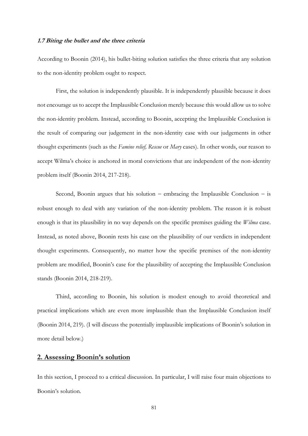### **1.7 Biting the bullet and the three criteria**

According to Boonin (2014), his bullet-biting solution satisfies the three criteria that any solution to the non-identity problem ought to respect.

First, the solution is independently plausible. It is independently plausible because it does not encourage us to accept the Implausible Conclusion merely because this would allow us to solve the non-identity problem. Instead, according to Boonin, accepting the Implausible Conclusion is the result of comparing our judgement in the non-identity case with our judgements in other thought experiments (such as the *Famine relief, Rescue* or *Mary* cases). In other words, our reason to accept Wilma's choice is anchored in moral convictions that are independent of the non-identity problem itself (Boonin 2014, 217-218).

Second, Boonin argues that his solution − embracing the Implausible Conclusion − is robust enough to deal with any variation of the non-identity problem. The reason it is robust enough is that its plausibility in no way depends on the specific premises guiding the *Wilma* case. Instead, as noted above, Boonin rests his case on the plausibility of our verdicts in independent thought experiments. Consequently, no matter how the specific premises of the non-identity problem are modified, Boonin's case for the plausibility of accepting the Implausible Conclusion stands (Boonin 2014, 218-219).

Third, according to Boonin, his solution is modest enough to avoid theoretical and practical implications which are even more implausible than the Implausible Conclusion itself (Boonin 2014, 219). (I will discuss the potentially implausible implications of Boonin's solution in more detail below.)

## **2. Assessing Boonin's solution**

In this section, I proceed to a critical discussion. In particular, I will raise four main objections to Boonin's solution.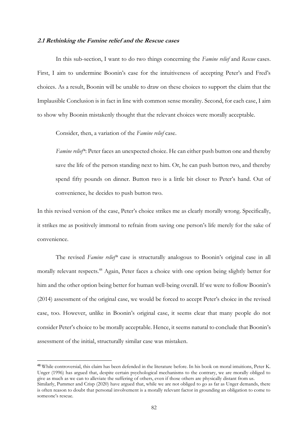#### **2.1 Rethinking the Famine relief and the Rescue cases**

In this sub-section, I want to do two things concerning the *Famine relief* and *Rescue* cases. First, I aim to undermine Boonin's case for the intuitiveness of accepting Peter's and Fred's choices. As a result, Boonin will be unable to draw on these choices to support the claim that the Implausible Conclusion is in fact in line with common sense morality. Second, for each case, I aim to show why Boonin mistakenly thought that the relevant choices were morally acceptable.

Consider, then, a variation of the *Famine relief* case.

*Famine relief\**: Peter faces an unexpected choice. He can either push button one and thereby save the life of the person standing next to him. Or, he can push button two, and thereby spend fifty pounds on dinner. Button two is a little bit closer to Peter's hand. Out of convenience, he decides to push button two.

In this revised version of the case, Peter's choice strikes me as clearly morally wrong. Specifically, it strikes me as positively immoral to refrain from saving one person's life merely for the sake of convenience.

The revised *Famine relief\** case is structurally analogous to Boonin's original case in all morally relevant respects.<sup>48</sup> Again, Peter faces a choice with one option being slightly better for him and the other option being better for human well-being overall. If we were to follow Boonin's (2014) assessment of the original case, we would be forced to accept Peter's choice in the revised case, too. However, unlike in Boonin's original case, it seems clear that many people do not consider Peter's choice to be morally acceptable. Hence, it seems natural to conclude that Boonin's assessment of the initial, structurally similar case was mistaken.

<sup>48</sup> While controversial, this claim has been defended in the literature before. In his book on moral intuitions, Peter K. Unger (1996) has argued that, despite certain psychological mechanisms to the contrary, we are morally obliged to give as much as we can to alleviate the suffering of others, even if those others are physically distant from us. Similarly, Pummer and Crisp (2020) have argued that, while we are not obliged to go as far as Unger demands, there is often reason to doubt that personal involvement is a morally relevant factor in grounding an obligation to come to someone's rescue.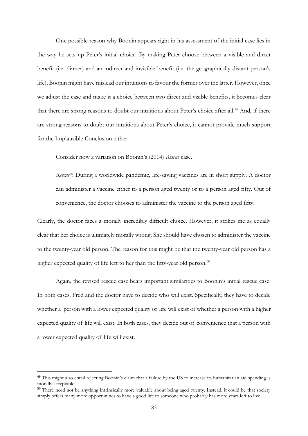One possible reason why Boonin appears right in his assessment of the initial case lies in the way he sets up Peter's initial choice. By making Peter choose between a visible and direct benefit (i.e. dinner) and an indirect and invisible benefit (i.e. the geographically distant person's life), Boonin might have mislead our intuitions to favour the former over the latter. However, once we adjust the case and make it a choice between two direct and visible benefits, it becomes clear that there are strong reasons to doubt our intuitions about Peter's choice after all.<sup>49</sup> And, if there are strong reasons to doubt our intuitions about Peter's choice, it cannot provide much support for the Implausible Conclusion either.

Consider now a variation on Boonin's (2014) *Rescue* case.

*Rescue\**: During a worldwide pandemic, life-saving vaccines are in short supply. A doctor can administer a vaccine either to a person aged twenty or to a person aged fifty. Out of convenience, the doctor chooses to administer the vaccine to the person aged fifty.

Clearly, the doctor faces a morally incredibly difficult choice. However, it strikes me as equally clear that her choice is ultimately morally wrong. She should have chosen to administer the vaccine to the twenty-year old person. The reason for this might be that the twenty-year old person has a higher expected quality of life left to her than the fifty-year old person.<sup>50</sup>

Again, the revised rescue case bears important similarities to Boonin's initial rescue case. In both cases, Fred and the doctor have to decide who will exist. Specifically, they have to decide whether a person with a lower expected quality of life will exist or whether a person with a higher expected quality of life will exist. In both cases, they decide out of convenience that a person with a lower expected quality of life will exist.

<sup>&</sup>lt;sup>49</sup> This might also entail rejecting Boonin's claim that a failure by the US to increase its humanitarian aid spending is morally acceptable.

<sup>&</sup>lt;sup>50</sup> There need not be anything intrinsically more valuable about being aged twenty. Instead, it could be that society simply offers many more opportunities to have a good life to someone who probably has more years left to live.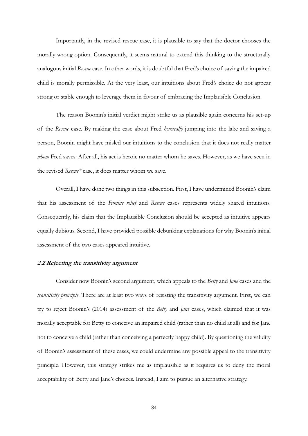Importantly, in the revised rescue case, it is plausible to say that the doctor chooses the morally wrong option. Consequently, it seems natural to extend this thinking to the structurally analogous initial *Rescue* case. In other words, it is doubtful that Fred's choice of saving the impaired child is morally permissible. At the very least, our intuitions about Fred's choice do not appear strong or stable enough to leverage them in favour of embracing the Implausible Conclusion.

The reason Boonin's initial verdict might strike us as plausible again concerns his set-up of the *Rescue* case. By making the case about Fred *heroically* jumping into the lake and saving a person, Boonin might have misled our intuitions to the conclusion that it does not really matter *whom* Fred saves. After all, his act is heroic no matter whom he saves. However, as we have seen in the revised *Rescue\** case, it does matter whom we save.

Overall, I have done two things in this subsection. First, I have undermined Boonin's claim that his assessment of the *Famine relief* and *Rescue* cases represents widely shared intuitions. Consequently, his claim that the Implausible Conclusion should be accepted as intuitive appears equally dubious. Second, I have provided possible debunking explanations for why Boonin's initial assessment of the two cases appeared intuitive.

## **2.2 Rejecting the transitivity argument**

Consider now Boonin's second argument, which appeals to the *Betty* and *Jane* cases and the *transitivity principle*. There are at least two ways of resisting the transitivity argument. First, we can try to reject Boonin's (2014) assessment of the *Betty* and *Jane* cases, which claimed that it was morally acceptable for Betty to conceive an impaired child (rather than no child at all) and for Jane not to conceive a child (rather than conceiving a perfectly happy child). By questioning the validity of Boonin's assessment of these cases, we could undermine any possible appeal to the transitivity principle. However, this strategy strikes me as implausible as it requires us to deny the moral acceptability of Betty and Jane's choices. Instead, I aim to pursue an alternative strategy.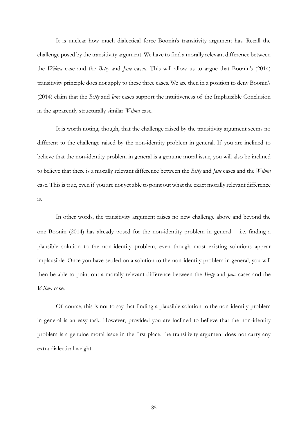It is unclear how much dialectical force Boonin's transitivity argument has. Recall the challenge posed by the transitivity argument. We have to find a morally relevant difference between the *Wilma* case and the *Betty* and *Jane* cases. This will allow us to argue that Boonin's (2014) transitivity principle does not apply to these three cases. We are then in a position to deny Boonin's (2014) claim that the *Betty* and *Jane* cases support the intuitiveness of the Implausible Conclusion in the apparently structurally similar *Wilma* case.

It is worth noting, though, that the challenge raised by the transitivity argument seems no different to the challenge raised by the non-identity problem in general. If you are inclined to believe that the non-identity problem in general is a genuine moral issue, you will also be inclined to believe that there is a morally relevant difference between the *Betty* and *Jane* cases and the *Wilma* case. This is true, even if you are not yet able to point out what the exact morally relevant difference is.

In other words, the transitivity argument raises no new challenge above and beyond the one Boonin (2014) has already posed for the non-identity problem in general − i.e. finding a plausible solution to the non-identity problem, even though most existing solutions appear implausible. Once you have settled on a solution to the non-identity problem in general, you will then be able to point out a morally relevant difference between the *Betty* and *Jane* cases and the *Wilma* case.

Of course, this is not to say that finding a plausible solution to the non-identity problem in general is an easy task. However, provided you are inclined to believe that the non-identity problem is a genuine moral issue in the first place, the transitivity argument does not carry any extra dialectical weight.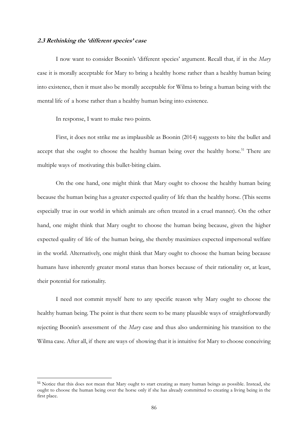#### **2.3 Rethinking the 'different species' case**

I now want to consider Boonin's 'different species' argument. Recall that, if in the *Mary* case it is morally acceptable for Mary to bring a healthy horse rather than a healthy human being into existence, then it must also be morally acceptable for Wilma to bring a human being with the mental life of a horse rather than a healthy human being into existence.

In response, I want to make two points.

First, it does not strike me as implausible as Boonin (2014) suggests to bite the bullet and accept that she ought to choose the healthy human being over the healthy horse.<sup>51</sup> There are multiple ways of motivating this bullet-biting claim.

On the one hand, one might think that Mary ought to choose the healthy human being because the human being has a greater expected quality of life than the healthy horse. (This seems especially true in our world in which animals are often treated in a cruel manner). On the other hand, one might think that Mary ought to choose the human being because, given the higher expected quality of life of the human being, she thereby maximizes expected impersonal welfare in the world. Alternatively, one might think that Mary ought to choose the human being because humans have inherently greater moral status than horses because of their rationality or, at least, their potential for rationality.

I need not commit myself here to any specific reason why Mary ought to choose the healthy human being. The point is that there seem to be many plausible ways of straightforwardly rejecting Boonin's assessment of the *Mary* case and thus also undermining his transition to the Wilma case. After all, if there are ways of showing that it is intuitive for Mary to choose conceiving

<sup>&</sup>lt;sup>51</sup> Notice that this does not mean that Mary ought to start creating as many human beings as possible. Instead, she ought to choose the human being over the horse only if she has already committed to creating a living being in the first place.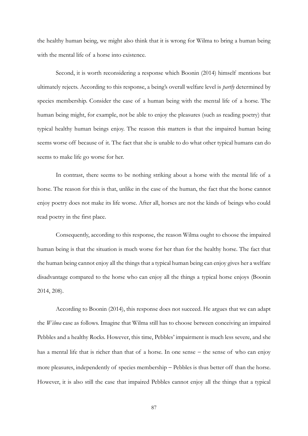the healthy human being, we might also think that it is wrong for Wilma to bring a human being with the mental life of a horse into existence.

Second, it is worth reconsidering a response which Boonin (2014) himself mentions but ultimately rejects. According to this response, a being's overall welfare level is *partly* determined by species membership. Consider the case of a human being with the mental life of a horse. The human being might, for example, not be able to enjoy the pleasures (such as reading poetry) that typical healthy human beings enjoy. The reason this matters is that the impaired human being seems worse off because of it. The fact that she is unable to do what other typical humans can do seems to make life go worse for her.

In contrast, there seems to be nothing striking about a horse with the mental life of a horse. The reason for this is that, unlike in the case of the human, the fact that the horse cannot enjoy poetry does not make its life worse. After all, horses are not the kinds of beings who could read poetry in the first place.

Consequently, according to this response, the reason Wilma ought to choose the impaired human being is that the situation is much worse for her than for the healthy horse. The fact that the human being cannot enjoy all the things that a typical human being can enjoy gives her a welfare disadvantage compared to the horse who can enjoy all the things a typical horse enjoys (Boonin 2014, 208).

According to Boonin (2014), this response does not succeed. He argues that we can adapt the *Wilma* case as follows. Imagine that Wilma still has to choose between conceiving an impaired Pebbles and a healthy Rocks. However, this time, Pebbles' impairment is much less severe, and she has a mental life that is richer than that of a horse. In one sense − the sense of who can enjoy more pleasures, independently of species membership − Pebbles is thus better off than the horse. However, it is also still the case that impaired Pebbles cannot enjoy all the things that a typical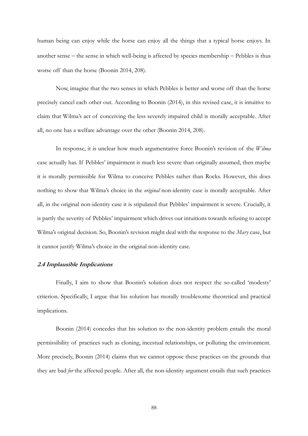human being can enjoy while the horse can enjoy all the things that a typical horse enjoys. In another sense − the sense in which well-being is affected by species membership − Pebbles is thus worse off than the horse (Boonin 2014, 208).

Now, imagine that the two senses in which Pebbles is better and worse off than the horse precisely cancel each other out. According to Boonin (2014), in this revised case, it is intuitive to claim that Wilma's act of conceiving the less severely impaired child is morally acceptable. After all, no one has a welfare advantage over the other (Boonin 2014, 208).

In response, it is unclear how much argumentative force Boonin's revision of the *Wilma* case actually has. If Pebbles' impairment is much less severe than originally assumed, then maybe it is morally permissible for Wilma to conceive Pebbles rather than Rocks. However, this does nothing to show that Wilma's choice in the *original* non-identity case is morally acceptable. After all, in the original non-identity case it is stipulated that Pebbles' impairment is severe. Crucially, it is partly the severity of Pebbles' impairment which drives our intuitions towards refusing to accept Wilma's original decision. So, Boonin's revision might deal with the response to the *Mary* case, but it cannot justify Wilma's choice in the original non-identity case.

## **2.4 Implausible Implications**

Finally, I aim to show that Boonin's solution does not respect the so-called 'modesty' criterion. Specifically, I argue that his solution has morally troublesome theoretical and practical implications.

Boonin (2014) concedes that his solution to the non-identity problem entails the moral permissibility of practices such as cloning, incestual relationships, or polluting the environment. More precisely, Boonin (2014) claims that we cannot oppose these practices on the grounds that they are bad *for* the affected people. After all, the non-identity argument entails that such practices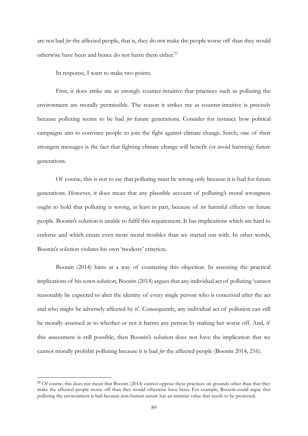are not bad *for* the affected people, that is, they do not make the people worse off than they would otherwise have been and hence do not harm them either.<sup>52</sup>

In response, I want to make two points.

First, it does strike me as strongly counter-intuitive that practices such as polluting the environment are morally permissible. The reason it strikes me as counter-intuitive is precisely because polluting seems to be bad *for* future generations. Consider for instance how political campaigns aim to convince people to join the fight against climate change. Surely, one of their strongest messages is the fact that fighting climate change will benefit (or avoid harming) future generations.

Of course, this is not to say that polluting must be wrong only because it is bad for future generations. However, it does mean that any plausible account of polluting's moral wrongness ought to hold that polluting is wrong, at least in part, because of its harmful effects on future people. Boonin's solution is unable to fulfil this requirement. It has implications which are hard to endorse and which create even more moral troubles than we started out with. In other words, Boonin's solution violates his own 'modesty' criterion.

Boonin (2014) hints at a way of countering this objection. In assessing the practical implications of his sown solution, Boonin (2014) argues that any individual act of polluting 'cannot reasonably be expected to alter the identity of every single person who is conceived after the act and who might be adversely affected by it'. Consequently, any individual act of pollution can still be morally assessed as to whether or not it harms any person by making her worse off. And, if this assessment is still possible, then Boonin's solution does not have the implication that we cannot morally prohibit polluting because it is bad *for* the affected people (Boonin 2014, 216).

<sup>&</sup>lt;sup>52</sup> Of course, this does not mean that Boonin (2014) cannot oppose these practices on grounds other than that they make the affected people worse off than they would otherwise have been. For example, Boonin could argue that polluting the environment is bad because non-human nature has an intrinsic value that needs to be protected.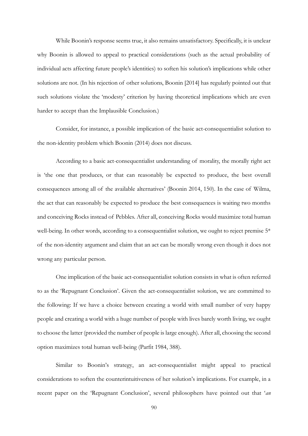While Boonin's response seems true, it also remains unsatisfactory. Specifically, it is unclear why Boonin is allowed to appeal to practical considerations (such as the actual probability of individual acts affecting future people's identities) to soften his solution's implications while other solutions are not. (In his rejection of other solutions, Boonin [2014] has regularly pointed out that such solutions violate the 'modesty' criterion by having theoretical implications which are even harder to accept than the Implausible Conclusion.)

Consider, for instance, a possible implication of the basic act-consequentialist solution to the non-identity problem which Boonin (2014) does not discuss.

According to a basic act-consequentialist understanding of morality, the morally right act is 'the one that produces, or that can reasonably be expected to produce, the best overall consequences among all of the available alternatives' (Boonin 2014, 150). In the case of Wilma, the act that can reasonably be expected to produce the best consequences is waiting two months and conceiving Rocks instead of Pebbles. After all, conceiving Rocks would maximize total human well-being. In other words, according to a consequentialist solution, we ought to reject premise 5\* of the non-identity argument and claim that an act can be morally wrong even though it does not wrong any particular person.

One implication of the basic act-consequentialist solution consists in what is often referred to as the 'Repugnant Conclusion'. Given the act-consequentialist solution, we are committed to the following: If we have a choice between creating a world with small number of very happy people and creating a world with a huge number of people with lives barely worth living, we ought to choose the latter (provided the number of people is large enough). After all, choosing the second option maximizes total human well-being (Parfit 1984, 388).

Similar to Boonin's strategy, an act-consequentialist might appeal to practical considerations to soften the counterintuitiveness of her solution's implications. For example, in a recent paper on the 'Repugnant Conclusion', several philosophers have pointed out that '*an*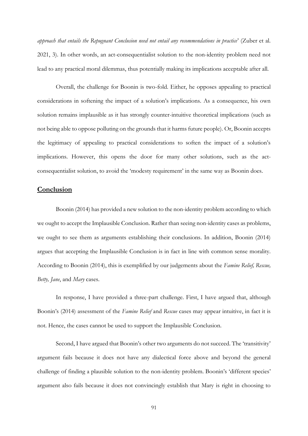*approach that entails the Repugnant Conclusion need not entail any recommendations in practice*' (Zuber et al. 2021, 3). In other words, an act-consequentialist solution to the non-identity problem need not lead to any practical moral dilemmas, thus potentially making its implications acceptable after all.

Overall, the challenge for Boonin is two-fold. Either, he opposes appealing to practical considerations in softening the impact of a solution's implications. As a consequence, his own solution remains implausible as it has strongly counter-intuitive theoretical implications (such as not being able to oppose polluting on the grounds that it harms future people). Or, Boonin accepts the legitimacy of appealing to practical considerations to soften the impact of a solution's implications. However, this opens the door for many other solutions, such as the actconsequentialist solution, to avoid the 'modesty requirement' in the same way as Boonin does.

# **Conclusion**

Boonin (2014) has provided a new solution to the non-identity problem according to which we ought to accept the Implausible Conclusion. Rather than seeing non-identity cases as problems, we ought to see them as arguments establishing their conclusions. In addition, Boonin (2014) argues that accepting the Implausible Conclusion is in fact in line with common sense morality. According to Boonin (2014), this is exemplified by our judgements about the *Famine Relief, Rescue, Betty, Jane*, and *Mary* cases.

In response, I have provided a three-part challenge. First, I have argued that, although Boonin's (2014) assessment of the *Famine Relief* and *Rescue* cases may appear intuitive, in fact it is not. Hence, the cases cannot be used to support the Implausible Conclusion.

Second, I have argued that Boonin's other two arguments do not succeed. The 'transitivity' argument fails because it does not have any dialectical force above and beyond the general challenge of finding a plausible solution to the non-identity problem. Boonin's 'different species' argument also fails because it does not convincingly establish that Mary is right in choosing to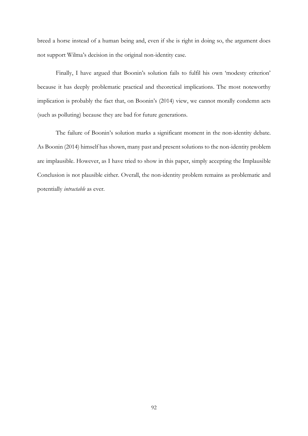breed a horse instead of a human being and, even if she is right in doing so, the argument does not support Wilma's decision in the original non-identity case.

Finally, I have argued that Boonin's solution fails to fulfil his own 'modesty criterion' because it has deeply problematic practical and theoretical implications. The most noteworthy implication is probably the fact that, on Boonin's (2014) view, we cannot morally condemn acts (such as polluting) because they are bad for future generations.

The failure of Boonin's solution marks a significant moment in the non-identity debate. As Boonin (2014) himself has shown, many past and present solutions to the non-identity problem are implausible. However, as I have tried to show in this paper, simply accepting the Implausible Conclusion is not plausible either. Overall, the non-identity problem remains as problematic and potentially *intractable* as ever.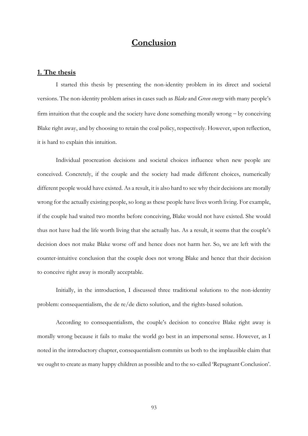# **Conclusion**

## **1. The thesis**

I started this thesis by presenting the non-identity problem in its direct and societal versions. The non-identity problem arises in cases such as *Blake* and *Green energy* with many people's firm intuition that the couple and the society have done something morally wrong − by conceiving Blake right away, and by choosing to retain the coal policy, respectively. However, upon reflection, it is hard to explain this intuition.

Individual procreation decisions and societal choices influence when new people are conceived. Concretely, if the couple and the society had made different choices, numerically different people would have existed. As a result, it is also hard to see why their decisions are morally wrong for the actually existing people, so long as these people have lives worth living. For example, if the couple had waited two months before conceiving, Blake would not have existed. She would thus not have had the life worth living that she actually has. As a result, it seems that the couple's decision does not make Blake worse off and hence does not harm her. So, we are left with the counter-intuitive conclusion that the couple does not wrong Blake and hence that their decision to conceive right away is morally acceptable.

Initially, in the introduction, I discussed three traditional solutions to the non-identity problem: consequentialism, the de re/de dicto solution, and the rights-based solution.

According to consequentialism, the couple's decision to conceive Blake right away is morally wrong because it fails to make the world go best in an impersonal sense. However, as I noted in the introductory chapter, consequentialism commits us both to the implausible claim that we ought to create as many happy children as possible and to the so-called 'Repugnant Conclusion'.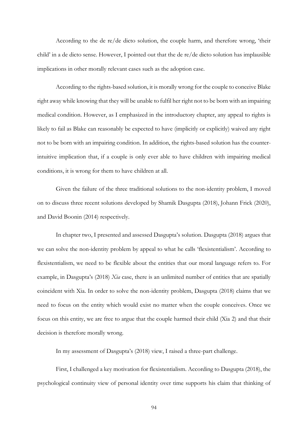According to the de re/de dicto solution, the couple harm, and therefore wrong, 'their child' in a de dicto sense. However, I pointed out that the de re/de dicto solution has implausible implications in other morally relevant cases such as the adoption case.

According to the rights-based solution, it is morally wrong for the couple to conceive Blake right away while knowing that they will be unable to fulfil her right not to be born with an impairing medical condition. However, as I emphasized in the introductory chapter, any appeal to rights is likely to fail as Blake can reasonably be expected to have (implicitly or explicitly) waived any right not to be born with an impairing condition. In addition, the rights-based solution has the counterintuitive implication that, if a couple is only ever able to have children with impairing medical conditions, it is wrong for them to have children at all.

Given the failure of the three traditional solutions to the non-identity problem, I moved on to discuss three recent solutions developed by Shamik Dasgupta (2018), Johann Frick (2020), and David Boonin (2014) respectively.

In chapter two, I presented and assessed Dasgupta's solution. Dasgupta (2018) argues that we can solve the non-identity problem by appeal to what he calls 'flexistentialism'. According to flexistentialism, we need to be flexible about the entities that our moral language refers to. For example, in Dasgupta's (2018) *Xia* case, there is an unlimited number of entities that are spatially coincident with Xia. In order to solve the non-identity problem, Dasgupta (2018) claims that we need to focus on the entity which would exist no matter when the couple conceives. Once we focus on this entity, we are free to argue that the couple harmed their child (Xia 2) and that their decision is therefore morally wrong.

In my assessment of Dasgupta's (2018) view, I raised a three-part challenge.

First, I challenged a key motivation for flexistentialism. According to Dasgupta (2018), the psychological continuity view of personal identity over time supports his claim that thinking of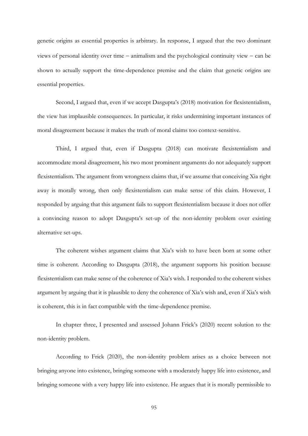genetic origins as essential properties is arbitrary. In response, I argued that the two dominant views of personal identity over time − animalism and the psychological continuity view − can be shown to actually support the time-dependence premise and the claim that genetic origins are essential properties.

Second, I argued that, even if we accept Dasgupta's (2018) motivation for flexistentialism, the view has implausible consequences. In particular, it risks undermining important instances of moral disagreement because it makes the truth of moral claims too context-sensitive.

Third, I argued that, even if Dasgupta (2018) can motivate flexistentialism and accommodate moral disagreement, his two most prominent arguments do not adequately support flexistentialism. The argument from wrongness claims that, if we assume that conceiving Xia right away is morally wrong, then only flexistentialism can make sense of this claim. However, I responded by arguing that this argument fails to support flexistentialism because it does not offer a convincing reason to adopt Dasgupta's set-up of the non-identity problem over existing alternative set-ups.

The coherent wishes argument claims that Xia's wish to have been born at some other time is coherent. According to Dasgupta (2018), the argument supports his position because flexistentialism can make sense of the coherence of Xia's wish. I responded to the coherent wishes argument by arguing that it is plausible to deny the coherence of Xia's wish and, even if Xia's wish is coherent, this is in fact compatible with the time-dependence premise.

In chapter three, I presented and assessed Johann Frick's (2020) recent solution to the non-identity problem.

According to Frick (2020), the non-identity problem arises as a choice between not bringing anyone into existence, bringing someone with a moderately happy life into existence, and bringing someone with a very happy life into existence. He argues that it is morally permissible to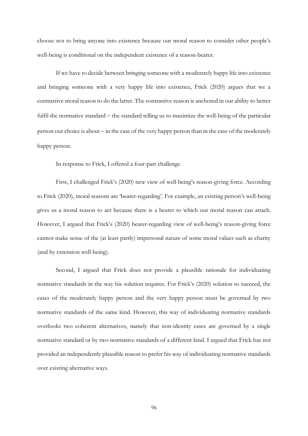choose not to bring anyone into existence because our moral reason to consider other people's well-being is conditional on the independent existence of a reason-bearer.

If we have to decide between bringing someone with a moderately happy life into existence and bringing someone with a very happy life into existence, Frick (2020) argues that we a contrastive moral reason to do the latter. The contrastive reason is anchored in our ability to better fulfil the normative standard − the standard telling us to maximize the well-being of the particular person our choice is about − in the case of the very happy person than in the case of the moderately happy person.

In response to Frick, I offered a four-part challenge.

First, I challenged Frick's (2020) new view of well-being's reason-giving force. According to Frick (2020), moral reasons are 'bearer-regarding'. For example, an existing person's well-being gives us a moral reason to act because there is a bearer to which our moral reason can attach. However, I argued that Frick's (2020) bearer-regarding view of well-being's reason-giving force cannot make sense of the (at least partly) impersonal nature of some moral values such as charity (and by extension well-being).

Second, I argued that Frick does not provide a plausible rationale for individuating normative standards in the way his solution requires. For Frick's (2020) solution to succeed, the cases of the moderately happy person and the very happy person must be governed by two normative standards of the same kind. However, this way of individuating normative standards overlooks two coherent alternatives, namely that non-identity cases are governed by a single normative standard or by two normative standards of a different kind. I argued that Frick has not provided an independently plausible reason to prefer his way of individuating normative standards over existing alternative ways.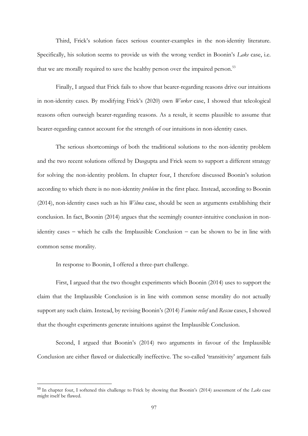Third, Frick's solution faces serious counter-examples in the non-identity literature. Specifically, his solution seems to provide us with the wrong verdict in Boonin's *Lake* case, i.e. that we are morally required to save the healthy person over the impaired person.<sup>53</sup>

Finally, I argued that Frick fails to show that bearer-regarding reasons drive our intuitions in non-identity cases. By modifying Frick's (2020) own *Worker* case, I showed that teleological reasons often outweigh bearer-regarding reasons. As a result, it seems plausible to assume that bearer-regarding cannot account for the strength of our intuitions in non-identity cases.

The serious shortcomings of both the traditional solutions to the non-identity problem and the two recent solutions offered by Dasgupta and Frick seem to support a different strategy for solving the non-identity problem. In chapter four, I therefore discussed Boonin's solution according to which there is no non-identity *problem* in the first place. Instead, according to Boonin (2014), non-identity cases such as his *Wilma* case, should be seen as arguments establishing their conclusion. In fact, Boonin (2014) argues that the seemingly counter-intuitive conclusion in nonidentity cases − which he calls the Implausible Conclusion − can be shown to be in line with common sense morality.

In response to Boonin, I offered a three-part challenge.

First, I argued that the two thought experiments which Boonin (2014) uses to support the claim that the Implausible Conclusion is in line with common sense morality do not actually support any such claim. Instead, by revising Boonin's (2014) *Famine relief* and *Rescue* cases, I showed that the thought experiments generate intuitions against the Implausible Conclusion.

Second, I argued that Boonin's (2014) two arguments in favour of the Implausible Conclusion are either flawed or dialectically ineffective. The so-called 'transitivity' argument fails

<sup>53</sup> In chapter four, I softened this challenge to Frick by showing that Boonin's (2014) assessment of the *Lake* case might itself be flawed.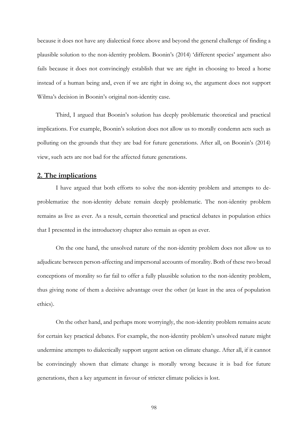because it does not have any dialectical force above and beyond the general challenge of finding a plausible solution to the non-identity problem. Boonin's (2014) 'different species' argument also fails because it does not convincingly establish that we are right in choosing to breed a horse instead of a human being and, even if we are right in doing so, the argument does not support Wilma's decision in Boonin's original non-identity case.

Third, I argued that Boonin's solution has deeply problematic theoretical and practical implications. For example, Boonin's solution does not allow us to morally condemn acts such as polluting on the grounds that they are bad for future generations. After all, on Boonin's (2014) view, such acts are not bad for the affected future generations.

## **2. The implications**

I have argued that both efforts to solve the non-identity problem and attempts to deproblematize the non-identity debate remain deeply problematic. The non-identity problem remains as live as ever. As a result, certain theoretical and practical debates in population ethics that I presented in the introductory chapter also remain as open as ever.

On the one hand, the unsolved nature of the non-identity problem does not allow us to adjudicate between person-affecting and impersonal accounts of morality. Both of these two broad conceptions of morality so far fail to offer a fully plausible solution to the non-identity problem, thus giving none of them a decisive advantage over the other (at least in the area of population ethics).

On the other hand, and perhaps more worryingly, the non-identity problem remains acute for certain key practical debates. For example, the non-identity problem's unsolved nature might undermine attempts to dialectically support urgent action on climate change. After all, if it cannot be convincingly shown that climate change is morally wrong because it is bad for future generations, then a key argument in favour of stricter climate policies is lost.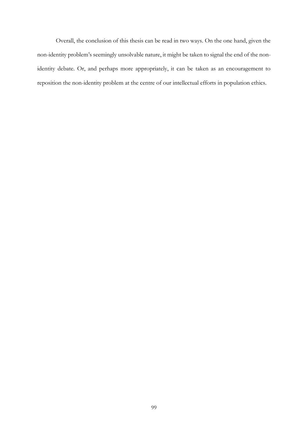Overall, the conclusion of this thesis can be read in two ways. On the one hand, given the non-identity problem's seemingly unsolvable nature, it might be taken to signal the end of the nonidentity debate. Or, and perhaps more appropriately, it can be taken as an encouragement to reposition the non-identity problem at the centre of our intellectual efforts in population ethics.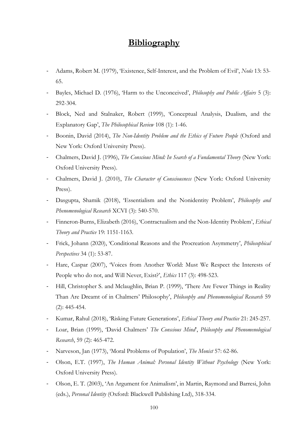# **Bibliography**

- Adams, Robert M. (1979), 'Existence, Self-Interest, and the Problem of Evil', *Noûs* 13: 53- 65.
- Bayles, Michael D. (1976), 'Harm to the Unconceived', *Philosophy and Public Affairs* 5 (3): 292-304.
- Block, Ned and Stalnaker, Robert (1999), 'Conceptual Analysis, Dualism, and the Explanatory Gap', *The Philosophical Review* 108 (1): 1-46.
- Boonin, David (2014), *The Non-Identity Problem and the Ethics of Future People* (Oxford and New York: Oxford University Press).
- Chalmers, David J. (1996), *The Conscious Mind: In Search of a Fundamental Theory* (New York: Oxford University Press).
- Chalmers, David J. (2010), *The Character of Consciousness* (New York: Oxford University Press).
- Dasgupta, Shamik (2018), 'Essentialism and the Nonidentity Problem', *Philosophy and Phenomenological Research* XCVI (3): 540-570.
- Finneron-Burns, Elizabeth (2016), 'Contractualism and the Non-Identity Problem', *Ethical Theory and Practice* 19: 1151-1163.
- Frick, Johann (2020), 'Conditional Reasons and the Procreation Asymmetry', *Philosophical Perspectives* 34 (1): 53-87.
- Hare, Caspar (2007), 'Voices from Another World: Must We Respect the Interests of People who do not, and Will Never, Exist?', *Ethics* 117 (3): 498-523.
- Hill, Christopher S. and Mclaughlin, Brian P. (1999), 'There Are Fewer Things in Reality Than Are Dreamt of in Chalmers' Philosophy', *Philosophy and Phenomenological Research* 59 (2): 445-454.
- Kumar, Rahul (2018), 'Risking Future Generations', *Ethical Theory and Practice* 21: 245-257.
- Loar, Brian (1999), 'David Chalmers' *The Conscious Mind*', *Philosophy and Phenomenological Research*, 59 (2): 465-472.
- Narveson, Jan (1973), 'Moral Problems of Population', *The Monist* 57: 62-86.
- Olson, E.T. (1997), *The Human Animal: Personal Identity Without Psychology* (New York: Oxford University Press).
- Olson, E. T. (2003), 'An Argument for Animalism', in Martin, Raymond and Barresi, John (eds.), *Personal Identity* (Oxford: Blackwell Publishing Ltd), 318-334.